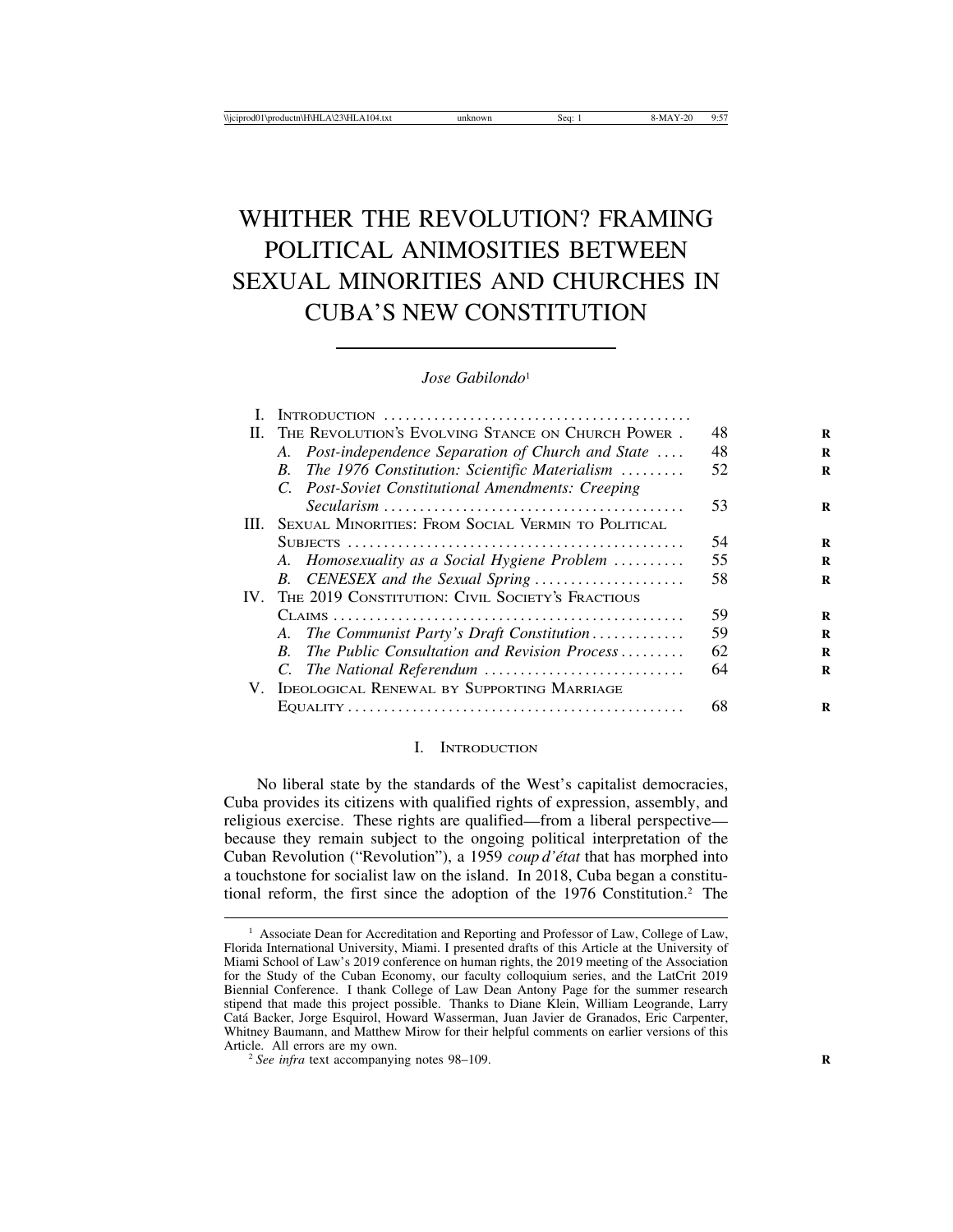# WHITHER THE REVOLUTION? FRAMING POLITICAL ANIMOSITIES BETWEEN SEXUAL MINORITIES AND CHURCHES IN CUBA'S NEW CONSTITUTION

#### *Jose Gabilondo*<sup>1</sup>

|      | II. THE REVOLUTION'S EVOLVING STANCE ON CHURCH POWER.     | 48 | R |
|------|-----------------------------------------------------------|----|---|
|      | A. Post-independence Separation of Church and State       | 48 | R |
|      | B. The 1976 Constitution: Scientific Materialism          | 52 | R |
|      | C. Post-Soviet Constitutional Amendments: Creeping        |    |   |
|      |                                                           | 53 | R |
| III. | <b>SEXUAL MINORITIES: FROM SOCIAL VERMIN TO POLITICAL</b> |    |   |
|      |                                                           | 54 | R |
|      | A. Homosexuality as a Social Hygiene Problem              | 55 | R |
|      | B. CENESEX and the Sexual Spring                          | 58 | R |
|      | IV. THE 2019 CONSTITUTION: CIVIL SOCIETY'S FRACTIOUS      |    |   |
|      |                                                           | 59 | R |
|      | A. The Communist Party's Draft Constitution               | 59 | R |
|      | B. The Public Consultation and Revision Process           | 62 | R |
|      |                                                           | 64 | R |
|      | V. IDEOLOGICAL RENEWAL BY SUPPORTING MARRIAGE             |    |   |
|      |                                                           | 68 | R |

#### I. INTRODUCTION

No liberal state by the standards of the West's capitalist democracies, Cuba provides its citizens with qualified rights of expression, assembly, and religious exercise. These rights are qualified—from a liberal perspective because they remain subject to the ongoing political interpretation of the Cuban Revolution ("Revolution"), a 1959 *coup d'état* that has morphed into a touchstone for socialist law on the island. In 2018, Cuba began a constitutional reform, the first since the adoption of the 1976 Constitution.2 The

<sup>&</sup>lt;sup>1</sup> Associate Dean for Accreditation and Reporting and Professor of Law, College of Law, Florida International University, Miami. I presented drafts of this Article at the University of Miami School of Law's 2019 conference on human rights, the 2019 meeting of the Association for the Study of the Cuban Economy, our faculty colloquium series, and the LatCrit 2019 Biennial Conference. I thank College of Law Dean Antony Page for the summer research stipend that made this project possible. Thanks to Diane Klein, William Leogrande, Larry Cat´a Backer, Jorge Esquirol, Howard Wasserman, Juan Javier de Granados, Eric Carpenter, Whitney Baumann, and Matthew Mirow for their helpful comments on earlier versions of this Article. All errors are my own.

 $\frac{a}{2}$  See infra text accompanying notes 98–109.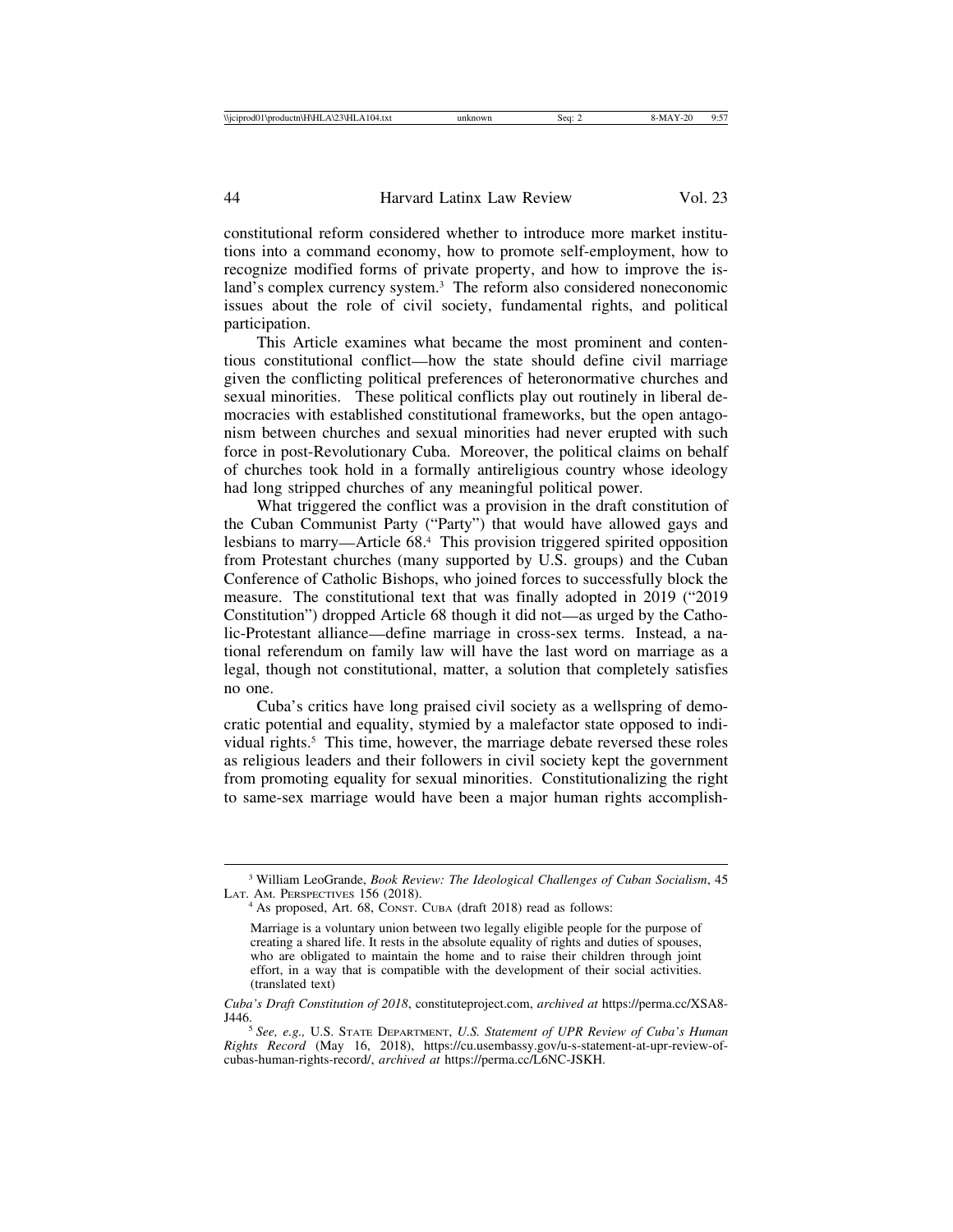constitutional reform considered whether to introduce more market institutions into a command economy, how to promote self-employment, how to recognize modified forms of private property, and how to improve the island's complex currency system.<sup>3</sup> The reform also considered noneconomic issues about the role of civil society, fundamental rights, and political participation.

This Article examines what became the most prominent and contentious constitutional conflict—how the state should define civil marriage given the conflicting political preferences of heteronormative churches and sexual minorities. These political conflicts play out routinely in liberal democracies with established constitutional frameworks, but the open antagonism between churches and sexual minorities had never erupted with such force in post-Revolutionary Cuba. Moreover, the political claims on behalf of churches took hold in a formally antireligious country whose ideology had long stripped churches of any meaningful political power.

What triggered the conflict was a provision in the draft constitution of the Cuban Communist Party ("Party") that would have allowed gays and lesbians to marry—Article 68.4 This provision triggered spirited opposition from Protestant churches (many supported by U.S. groups) and the Cuban Conference of Catholic Bishops, who joined forces to successfully block the measure. The constitutional text that was finally adopted in 2019 ("2019 Constitution") dropped Article 68 though it did not—as urged by the Catholic-Protestant alliance—define marriage in cross-sex terms. Instead, a national referendum on family law will have the last word on marriage as a legal, though not constitutional, matter, a solution that completely satisfies no one.

Cuba's critics have long praised civil society as a wellspring of democratic potential and equality, stymied by a malefactor state opposed to individual rights.5 This time, however, the marriage debate reversed these roles as religious leaders and their followers in civil society kept the government from promoting equality for sexual minorities. Constitutionalizing the right to same-sex marriage would have been a major human rights accomplish-

<sup>&</sup>lt;sup>3</sup> William LeoGrande, *Book Review: The Ideological Challenges of Cuban Socialism*, 45 LAT. AM. PERSPECTIVES 156 (2018).

<sup>&</sup>lt;sup>4</sup> As proposed, Art. 68, CONST. CUBA (draft 2018) read as follows:

Marriage is a voluntary union between two legally eligible people for the purpose of creating a shared life. It rests in the absolute equality of rights and duties of spouses, who are obligated to maintain the home and to raise their children through joint effort, in a way that is compatible with the development of their social activities. (translated text)

*Cuba's Draft Constitution of 2018*, constituteproject.com, *archived at* https://perma.cc/XSA8-

<sup>&</sup>lt;sup>5</sup> See, e.g., U.S. STATE DEPARTMENT, U.S. Statement of UPR Review of Cuba's Human *Rights Record* (May 16, 2018), https://cu.usembassy.gov/u-s-statement-at-upr-review-ofcubas-human-rights-record/, *archived at* https://perma.cc/L6NC-JSKH.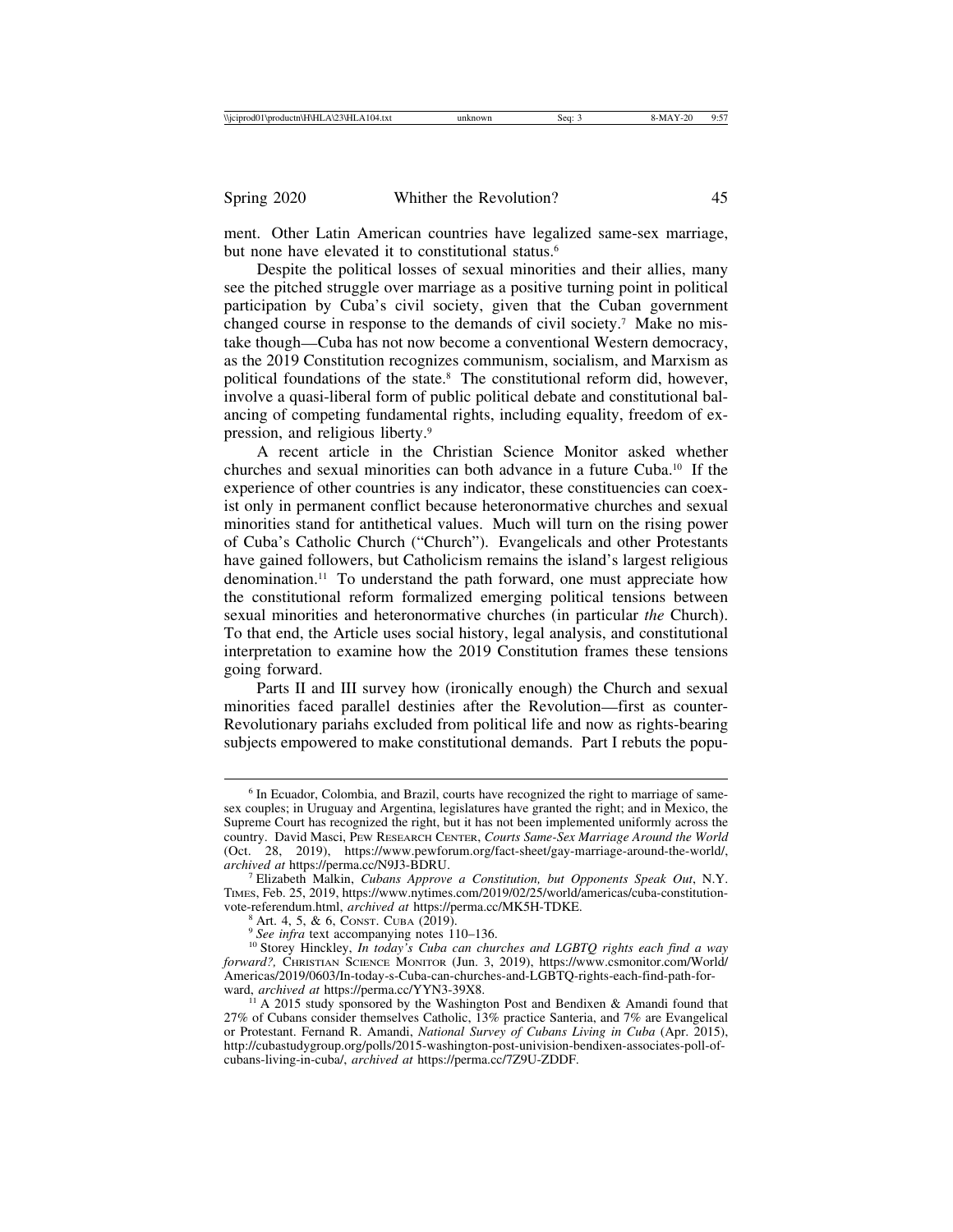ment. Other Latin American countries have legalized same-sex marriage, but none have elevated it to constitutional status.<sup>6</sup>

Despite the political losses of sexual minorities and their allies, many see the pitched struggle over marriage as a positive turning point in political participation by Cuba's civil society, given that the Cuban government changed course in response to the demands of civil society.7 Make no mistake though—Cuba has not now become a conventional Western democracy, as the 2019 Constitution recognizes communism, socialism, and Marxism as political foundations of the state.<sup>8</sup> The constitutional reform did, however, involve a quasi-liberal form of public political debate and constitutional balancing of competing fundamental rights, including equality, freedom of expression, and religious liberty.9

A recent article in the Christian Science Monitor asked whether churches and sexual minorities can both advance in a future Cuba.10 If the experience of other countries is any indicator, these constituencies can coexist only in permanent conflict because heteronormative churches and sexual minorities stand for antithetical values. Much will turn on the rising power of Cuba's Catholic Church ("Church"). Evangelicals and other Protestants have gained followers, but Catholicism remains the island's largest religious denomination.11 To understand the path forward, one must appreciate how the constitutional reform formalized emerging political tensions between sexual minorities and heteronormative churches (in particular *the* Church). To that end, the Article uses social history, legal analysis, and constitutional interpretation to examine how the 2019 Constitution frames these tensions going forward.

Parts II and III survey how (ironically enough) the Church and sexual minorities faced parallel destinies after the Revolution—first as counter-Revolutionary pariahs excluded from political life and now as rights-bearing subjects empowered to make constitutional demands. Part I rebuts the popu-

<sup>&</sup>lt;sup>6</sup> In Ecuador, Colombia, and Brazil, courts have recognized the right to marriage of samesex couples; in Uruguay and Argentina, legislatures have granted the right; and in Mexico, the Supreme Court has recognized the right, but it has not been implemented uniformly across the country. David Masci, PEW RESEARCH CENTER, *Courts Same-Sex Marriage Around the World* (Oct. 28, 2019), https://www.pewforum.org/fact-sheet/gay-marriage-around-the-world/, archived at https://perma.cc/N9J3-BDRU.

*Filizabeth Malkin, Cubans Approve a Constitution, but Opponents Speak Out*, N.Y. TIMES, Feb. 25, 2019, https://www.nytimes.com/2019/02/25/world/americas/cuba-constitution-<br>vote-referendum.html, *archived at* https://perma.cc/MK5H-TDKE.

<sup>&</sup>lt;sup>8</sup> Art. 4, 5, & 6, Const. Cuba (2019).<br><sup>9</sup> See infra text accompanying notes 110–136.<br><sup>10</sup> Storey Hinckley, *In today's Cuba can churches and LGBTQ rights each find a way forward?,* CHRISTIAN SCIENCE MONITOR (Jun. 3, 2019), https://www.csmonitor.com/World/ Americas/2019/0603/In-today-s-Cuba-can-churches-and-LGBTQ-rights-each-find-path-for-<br>ward, archived at https://perma.cc/YYN3-39X8.

<sup>&</sup>lt;sup>11</sup> A 2015 study sponsored by the Washington Post and Bendixen & Amandi found that 27% of Cubans consider themselves Catholic, 13% practice Santeria, and 7% are Evangelical or Protestant. Fernand R. Amandi, *National Survey of Cubans Living in Cuba* (Apr. 2015), http://cubastudygroup.org/polls/2015-washington-post-univision-bendixen-associates-poll-ofcubans-living-in-cuba/, *archived at* https://perma.cc/7Z9U-ZDDF.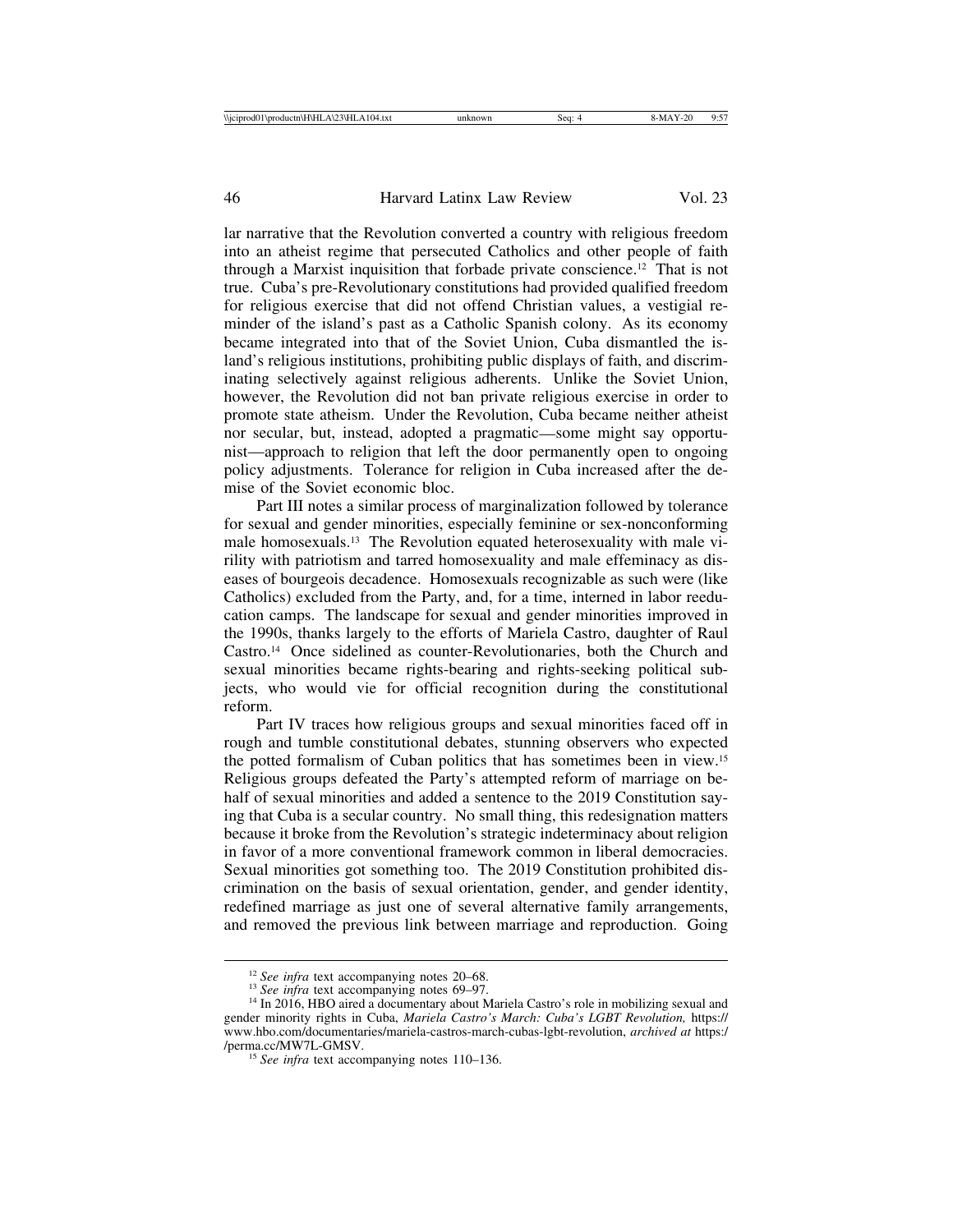lar narrative that the Revolution converted a country with religious freedom into an atheist regime that persecuted Catholics and other people of faith through a Marxist inquisition that forbade private conscience.12 That is not true. Cuba's pre-Revolutionary constitutions had provided qualified freedom for religious exercise that did not offend Christian values, a vestigial reminder of the island's past as a Catholic Spanish colony. As its economy became integrated into that of the Soviet Union, Cuba dismantled the island's religious institutions, prohibiting public displays of faith, and discriminating selectively against religious adherents. Unlike the Soviet Union, however, the Revolution did not ban private religious exercise in order to promote state atheism. Under the Revolution, Cuba became neither atheist nor secular, but, instead, adopted a pragmatic—some might say opportunist—approach to religion that left the door permanently open to ongoing policy adjustments. Tolerance for religion in Cuba increased after the demise of the Soviet economic bloc.

Part III notes a similar process of marginalization followed by tolerance for sexual and gender minorities, especially feminine or sex-nonconforming male homosexuals.13 The Revolution equated heterosexuality with male virility with patriotism and tarred homosexuality and male effeminacy as diseases of bourgeois decadence. Homosexuals recognizable as such were (like Catholics) excluded from the Party, and, for a time, interned in labor reeducation camps. The landscape for sexual and gender minorities improved in the 1990s, thanks largely to the efforts of Mariela Castro, daughter of Raul Castro.14 Once sidelined as counter-Revolutionaries, both the Church and sexual minorities became rights-bearing and rights-seeking political subjects, who would vie for official recognition during the constitutional reform.

Part IV traces how religious groups and sexual minorities faced off in rough and tumble constitutional debates, stunning observers who expected the potted formalism of Cuban politics that has sometimes been in view.15 Religious groups defeated the Party's attempted reform of marriage on behalf of sexual minorities and added a sentence to the 2019 Constitution saying that Cuba is a secular country. No small thing, this redesignation matters because it broke from the Revolution's strategic indeterminacy about religion in favor of a more conventional framework common in liberal democracies. Sexual minorities got something too. The 2019 Constitution prohibited discrimination on the basis of sexual orientation, gender, and gender identity, redefined marriage as just one of several alternative family arrangements, and removed the previous link between marriage and reproduction. Going

<sup>&</sup>lt;sup>12</sup> *See infra* text accompanying notes 20–68.<br><sup>13</sup> *See infra* text accompanying notes 69–97.<br><sup>14</sup> In 2016, HBO aired a documentary about Mariela Castro's role in mobilizing sexual and gender minority rights in Cuba, *Mariela Castro's March: Cuba's LGBT Revolution,* https:// www.hbo.com/documentaries/mariela-castros-march-cubas-lgbt-revolution, *archived at* https:/ /perma.cc/MW7L-GMSV. <sup>15</sup> *See infra* text accompanying notes 110–136.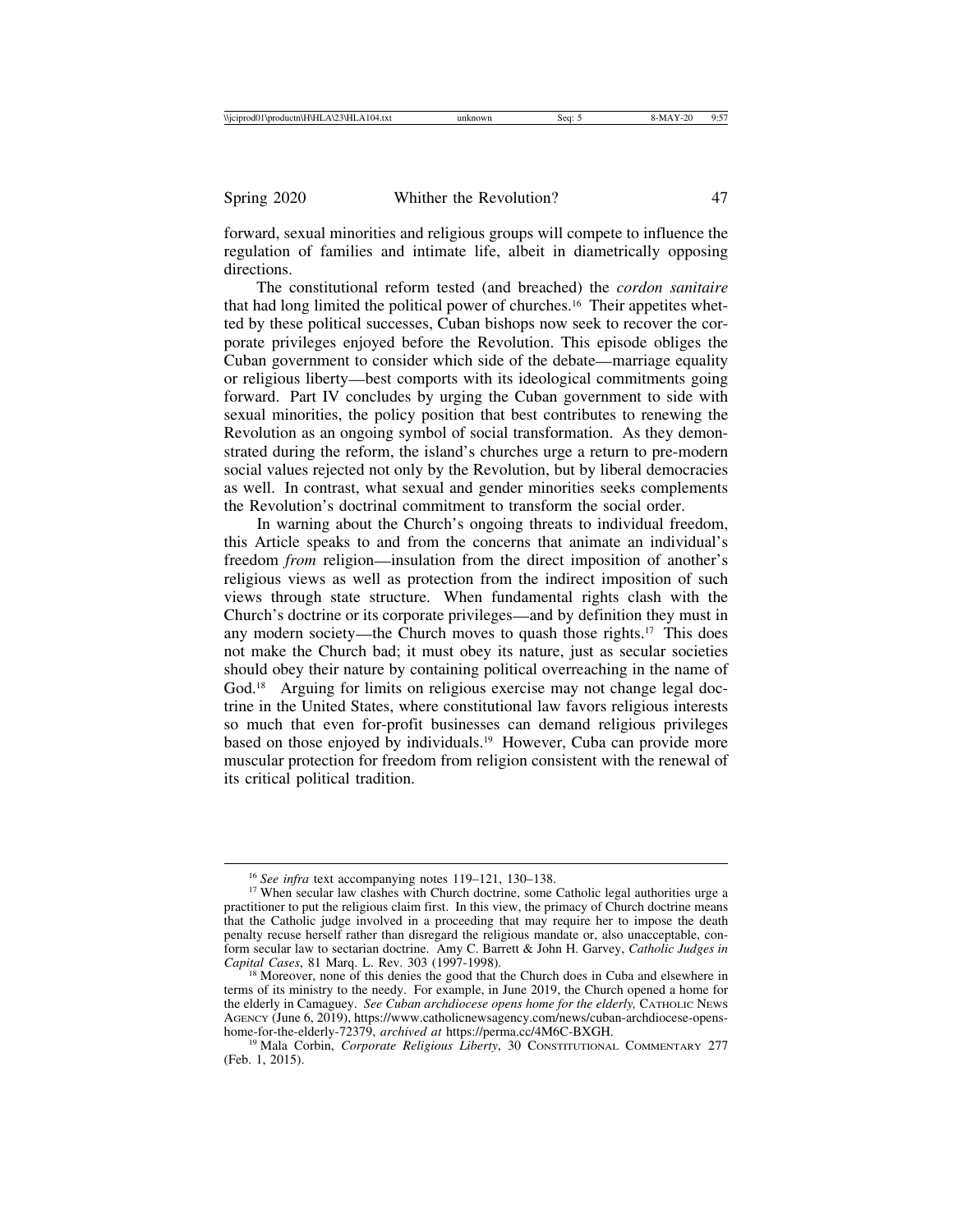forward, sexual minorities and religious groups will compete to influence the regulation of families and intimate life, albeit in diametrically opposing directions.

The constitutional reform tested (and breached) the *cordon sanitaire* that had long limited the political power of churches.16 Their appetites whetted by these political successes, Cuban bishops now seek to recover the corporate privileges enjoyed before the Revolution. This episode obliges the Cuban government to consider which side of the debate—marriage equality or religious liberty—best comports with its ideological commitments going forward. Part IV concludes by urging the Cuban government to side with sexual minorities, the policy position that best contributes to renewing the Revolution as an ongoing symbol of social transformation. As they demonstrated during the reform, the island's churches urge a return to pre-modern social values rejected not only by the Revolution, but by liberal democracies as well. In contrast, what sexual and gender minorities seeks complements the Revolution's doctrinal commitment to transform the social order.

In warning about the Church's ongoing threats to individual freedom, this Article speaks to and from the concerns that animate an individual's freedom *from* religion—insulation from the direct imposition of another's religious views as well as protection from the indirect imposition of such views through state structure. When fundamental rights clash with the Church's doctrine or its corporate privileges—and by definition they must in any modern society—the Church moves to quash those rights.17 This does not make the Church bad; it must obey its nature, just as secular societies should obey their nature by containing political overreaching in the name of God.<sup>18</sup> Arguing for limits on religious exercise may not change legal doctrine in the United States, where constitutional law favors religious interests so much that even for-profit businesses can demand religious privileges based on those enjoyed by individuals.<sup>19</sup> However, Cuba can provide more muscular protection for freedom from religion consistent with the renewal of its critical political tradition.

<sup>&</sup>lt;sup>16</sup> See infra text accompanying notes 119–121, 130–138.<br><sup>17</sup> When secular law clashes with Church doctrine, some Catholic legal authorities urge a practitioner to put the religious claim first. In this view, the primacy of Church doctrine means that the Catholic judge involved in a proceeding that may require her to impose the death penalty recuse herself rather than disregard the religious mandate or, also unacceptable, conform secular law to sectarian doctrine. Amy C. Barrett & John H. Garvey, *Catholic Judges in Capital Cases*, 81 Marq. L. Rev. 303 (1997-1998). <sup>18</sup> Moreover, none of this denies the good that the Church does in Cuba and elsewhere in

terms of its ministry to the needy. For example, in June 2019, the Church opened a home for the elderly in Camaguey. *See Cuban archdiocese opens home for the elderly*, CATHOLIC NEWS AGENCY (June 6, 2019), https://www.catholicnewsagency.com/news/cuban-archdiocese-opens-<br>home-for-the-elderly-72379, *archived at https://perma.cc/4M6C-BXGH.* 

<sup>&</sup>lt;sup>19</sup> Mala Corbin, *Corporate Religious Liberty*, 30 CONSTITUTIONAL COMMENTARY 277 (Feb. 1, 2015).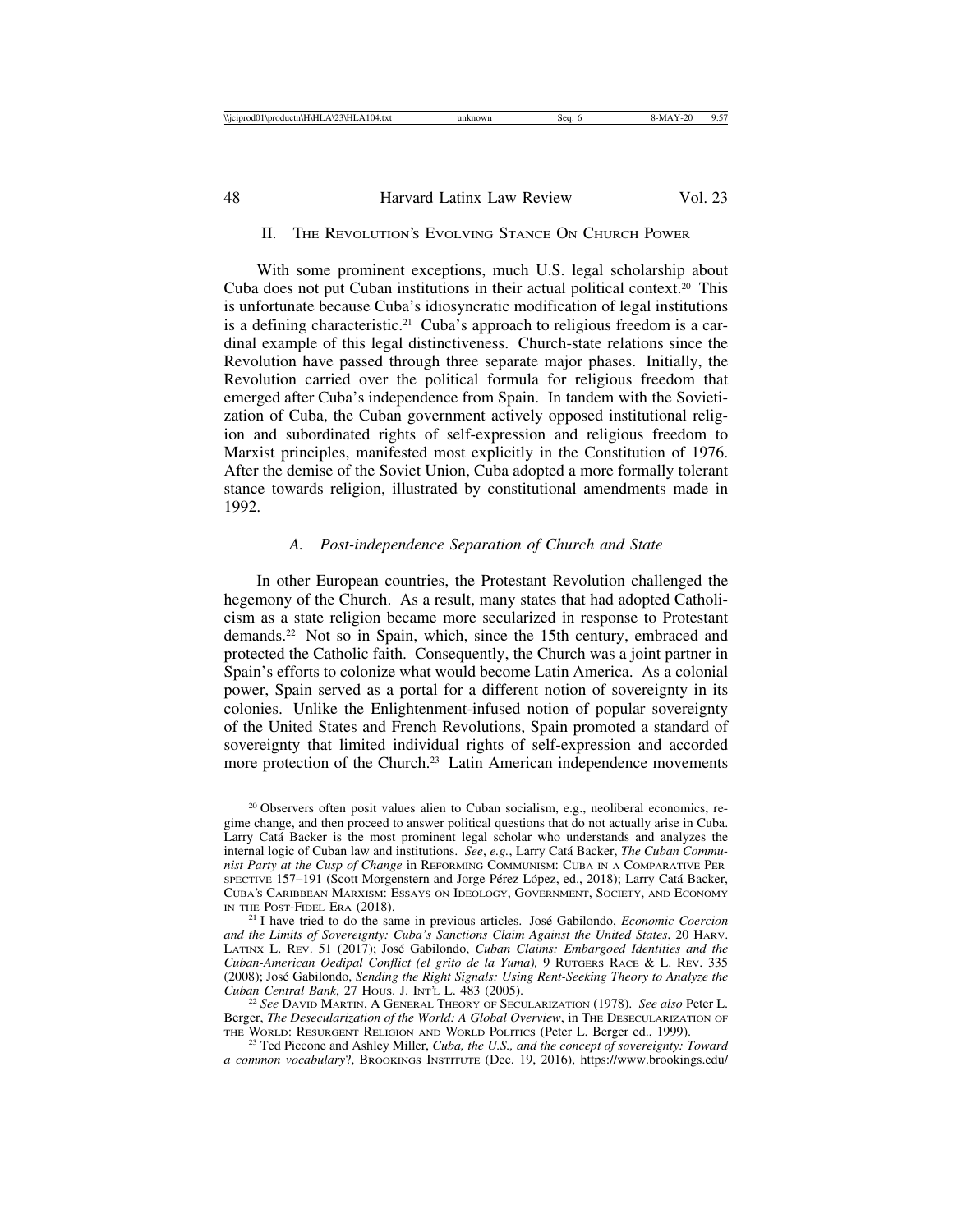| <b>Nicipro</b><br>\productn\H\HLA\2<br>- 14<br>4.txt<br>rod0<br>11 H A<br>- 71 | Sea | $-$<br>.<br>. |
|--------------------------------------------------------------------------------|-----|---------------|
|                                                                                |     |               |

| 48 | Harvard Latinx Law Review | Vol. 23 |
|----|---------------------------|---------|
|    |                           |         |

#### II. THE REVOLUTION'S EVOLVING STANCE ON CHURCH POWER

With some prominent exceptions, much U.S. legal scholarship about Cuba does not put Cuban institutions in their actual political context.20 This is unfortunate because Cuba's idiosyncratic modification of legal institutions is a defining characteristic.<sup>21</sup> Cuba's approach to religious freedom is a cardinal example of this legal distinctiveness. Church-state relations since the Revolution have passed through three separate major phases. Initially, the Revolution carried over the political formula for religious freedom that emerged after Cuba's independence from Spain. In tandem with the Sovietization of Cuba, the Cuban government actively opposed institutional religion and subordinated rights of self-expression and religious freedom to Marxist principles, manifested most explicitly in the Constitution of 1976. After the demise of the Soviet Union, Cuba adopted a more formally tolerant stance towards religion, illustrated by constitutional amendments made in 1992.

#### *A. Post-independence Separation of Church and State*

In other European countries, the Protestant Revolution challenged the hegemony of the Church. As a result, many states that had adopted Catholicism as a state religion became more secularized in response to Protestant demands.22 Not so in Spain, which, since the 15th century, embraced and protected the Catholic faith. Consequently, the Church was a joint partner in Spain's efforts to colonize what would become Latin America. As a colonial power, Spain served as a portal for a different notion of sovereignty in its colonies. Unlike the Enlightenment-infused notion of popular sovereignty of the United States and French Revolutions, Spain promoted a standard of sovereignty that limited individual rights of self-expression and accorded more protection of the Church.23 Latin American independence movements

<sup>&</sup>lt;sup>20</sup> Observers often posit values alien to Cuban socialism, e.g., neoliberal economics, regime change, and then proceed to answer political questions that do not actually arise in Cuba. Larry Cata Backer is the most prominent legal scholar who understands and analyzes the internal logic of Cuban law and institutions. *See*, *e.g.*, Larry Catá Backer, *The Cuban Communist Party at the Cusp of Change* in REFORMING COMMUNISM: CUBA IN A COMPARATIVE PER-SPECTIVE 157–191 (Scott Morgenstern and Jorge Pérez López, ed., 2018); Larry Catá Backer, CUBA'S CARIBBEAN MARXISM: ESSAYS ON IDEOLOGY, GOVERNMENT, SOCIETY, AND ECONOMY IN THE POST-FIDEL ERA (2018). <sup>21</sup> I have tried to do the same in previous articles. Jos´e Gabilondo, *Economic Coercion*

*and the Limits of Sovereignty: Cuba's Sanctions Claim Against the United States*, 20 HARV. LATINX L. REV. 51 (2017); José Gabilondo, *Cuban Claims: Embargoed Identities and the Cuban-American Oedipal Conflict (el grito de la Yuma),* 9 RUTGERS RACE & L. REV. 335 (2008); José Gabilondo, *Sending the Right Signals: Using Rent-Seeking Theory to Analyze the Cuban Central Bank*, 27 Hous. J. In $\tau$ 't. L. 483 (2005).

<sup>&</sup>lt;sup>2</sup> See David Martin, A General Theory of Secularization (1978). *See also* Peter L. Berger, *The Desecularization of the World: A Global Overview*, in THE DESECULARIZATION OF THE WORLD: RESURGENT RELIGION AND WORLD POLITICS (Peter L. Berger ed., 1999).

<sup>&</sup>lt;sup>23</sup> Ted Piccone and Ashley Miller, *Cuba, the U.S., and the concept of sovereignty: Toward a common vocabulary*?, BROOKINGS INSTITUTE (Dec. 19, 2016), https://www.brookings.edu/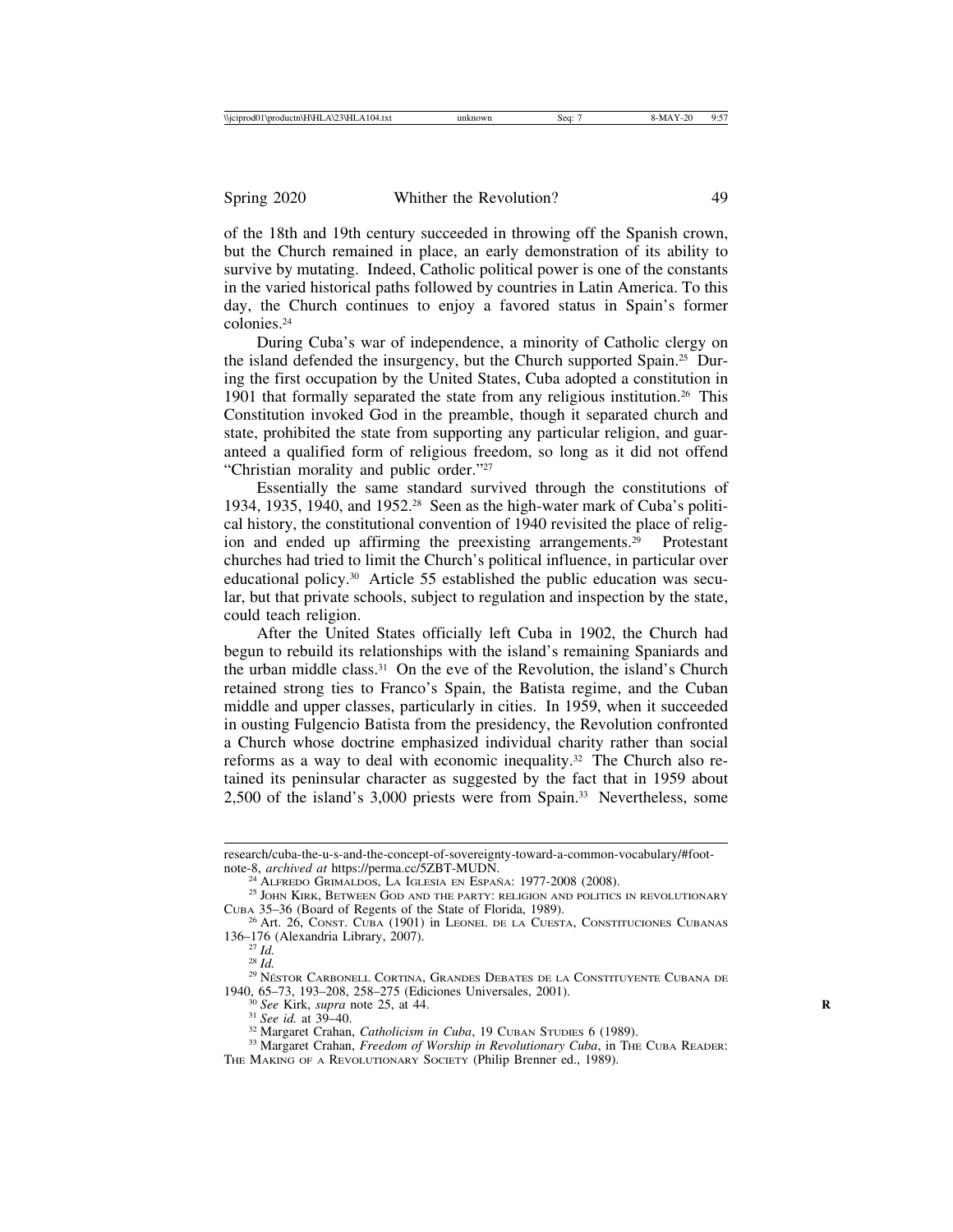of the 18th and 19th century succeeded in throwing off the Spanish crown, but the Church remained in place, an early demonstration of its ability to survive by mutating. Indeed, Catholic political power is one of the constants in the varied historical paths followed by countries in Latin America. To this day, the Church continues to enjoy a favored status in Spain's former colonies.24

During Cuba's war of independence, a minority of Catholic clergy on the island defended the insurgency, but the Church supported Spain.25 During the first occupation by the United States, Cuba adopted a constitution in 1901 that formally separated the state from any religious institution.26 This Constitution invoked God in the preamble, though it separated church and state, prohibited the state from supporting any particular religion, and guaranteed a qualified form of religious freedom, so long as it did not offend "Christian morality and public order."27

Essentially the same standard survived through the constitutions of 1934, 1935, 1940, and 1952.28 Seen as the high-water mark of Cuba's political history, the constitutional convention of 1940 revisited the place of religion and ended up affirming the preexisting arrangements.<sup>29</sup> Protestant churches had tried to limit the Church's political influence, in particular over educational policy.30 Article 55 established the public education was secular, but that private schools, subject to regulation and inspection by the state, could teach religion.

After the United States officially left Cuba in 1902, the Church had begun to rebuild its relationships with the island's remaining Spaniards and the urban middle class. $31$  On the eve of the Revolution, the island's Church retained strong ties to Franco's Spain, the Batista regime, and the Cuban middle and upper classes, particularly in cities. In 1959, when it succeeded in ousting Fulgencio Batista from the presidency, the Revolution confronted a Church whose doctrine emphasized individual charity rather than social reforms as a way to deal with economic inequality.32 The Church also retained its peninsular character as suggested by the fact that in 1959 about 2,500 of the island's 3,000 priests were from Spain.33 Nevertheless, some

research/cuba-the-u-s-and-the-concept-of-sovereignty-toward-a-common-vocabulary/#footnote-8, *archived at* https://perma.cc/5ZBT-MUDN.<br><sup>24</sup> ALFREDO GRIMALDOS, LA IGLESIA EN ESPAÑA: 1977-2008 (2008).

<sup>&</sup>lt;sup>25</sup> JOHN KIRK, BETWEEN GOD AND THE PARTY: RELIGION AND POLITICS IN REVOLUTIONARY CUBA 35–36 (Board of Regents of the State of Florida, 1989). <sup>26</sup> Art. 26, CONST. CUBA (1901) in LEONEL DE LA CUESTA, CONSTITUCIONES CUBANAS

<sup>136–176 (</sup>Alexandria Library, 2007).<br><sup>27</sup> Id

<sup>27</sup> *Id.* <sup>28</sup> *Id.* <sup>29</sup> NESTOR ´ CARBONELL CORTINA, GRANDES DEBATES DE LA CONSTITUYENTE CUBANA DE

<sup>1940, 65–73, 193–208, 258–275 (</sup>Ediciones Universales, 2001).<br>
<sup>30</sup> See Kirk, *supra* note 25, at 44.<br>
<sup>31</sup> See id. at 39–40.<br>
<sup>32</sup> Margaret Crahan, *Catholicism in Cuba*, 19 CUBAN STUDIES 6 (1989).<br>
<sup>33</sup> Margaret Crahan, THE MAKING OF A REVOLUTIONARY SOCIETY (Philip Brenner ed., 1989).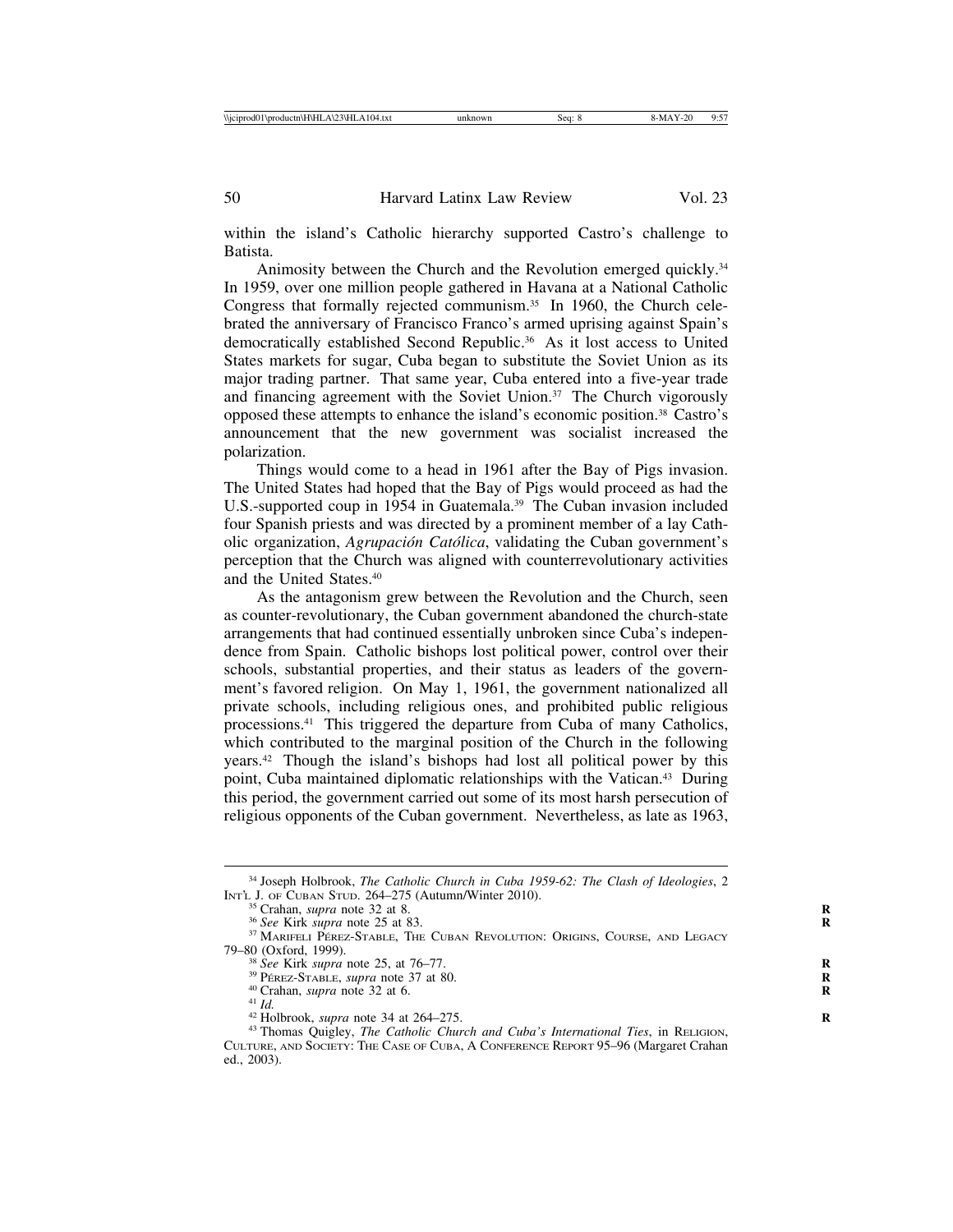within the island's Catholic hierarchy supported Castro's challenge to Batista.

Animosity between the Church and the Revolution emerged quickly.<sup>34</sup> In 1959, over one million people gathered in Havana at a National Catholic Congress that formally rejected communism.<sup>35</sup> In 1960, the Church celebrated the anniversary of Francisco Franco's armed uprising against Spain's democratically established Second Republic.36 As it lost access to United States markets for sugar, Cuba began to substitute the Soviet Union as its major trading partner. That same year, Cuba entered into a five-year trade and financing agreement with the Soviet Union.<sup>37</sup> The Church vigorously opposed these attempts to enhance the island's economic position.38 Castro's announcement that the new government was socialist increased the polarization.

Things would come to a head in 1961 after the Bay of Pigs invasion. The United States had hoped that the Bay of Pigs would proceed as had the U.S.-supported coup in 1954 in Guatemala.<sup>39</sup> The Cuban invasion included four Spanish priests and was directed by a prominent member of a lay Catholic organization, *Agrupación Católica*, validating the Cuban government's perception that the Church was aligned with counterrevolutionary activities and the United States.40

As the antagonism grew between the Revolution and the Church, seen as counter-revolutionary, the Cuban government abandoned the church-state arrangements that had continued essentially unbroken since Cuba's independence from Spain. Catholic bishops lost political power, control over their schools, substantial properties, and their status as leaders of the government's favored religion. On May 1, 1961, the government nationalized all private schools, including religious ones, and prohibited public religious processions.41 This triggered the departure from Cuba of many Catholics, which contributed to the marginal position of the Church in the following years.42 Though the island's bishops had lost all political power by this point, Cuba maintained diplomatic relationships with the Vatican.43 During this period, the government carried out some of its most harsh persecution of religious opponents of the Cuban government. Nevertheless, as late as 1963,

<sup>34</sup> Joseph Holbrook, *The Catholic Church in Cuba 1959-62: The Clash of Ideologies*, 2 INTÈ J. OF CUBAN STUD. 264–275 (Autumn/Winter 2010).<br>
<sup>35</sup> Crahan, *supra* note 32 at 8.<br>
<sup>36</sup> See Kirk *supra* note 25 at 83.<br>
<sup>37</sup> MARIFELI PÉREZ-STABLE, THE CUBAN REVOLUTION: ORIGINS, COURSE, AND LEGACY

<sup>79–80 (</sup>Oxford, 1999).<br><sup>38</sup> See Kirk supra note 25, at 76–77.

<sup>&</sup>lt;sup>38</sup> See Kirk supra note 25, at 76–77.<br>
<sup>39</sup> PÉREZ-STABLE, supra note 37 at 80.<br>
<sup>40</sup> Crahan, supra note 32 at 6.<br>
<sup>41</sup> Id.<br>
<sup>42</sup> Holbrook, supra note 34 at 264–275.<br>
<sup>43</sup> Thomas Quigley, *The Catholic Church and Cuba's I* CULTURE, AND SOCIETY: THE CASE OF CUBA, A CONFERENCE REPORT 95–96 (Margaret Crahan ed., 2003).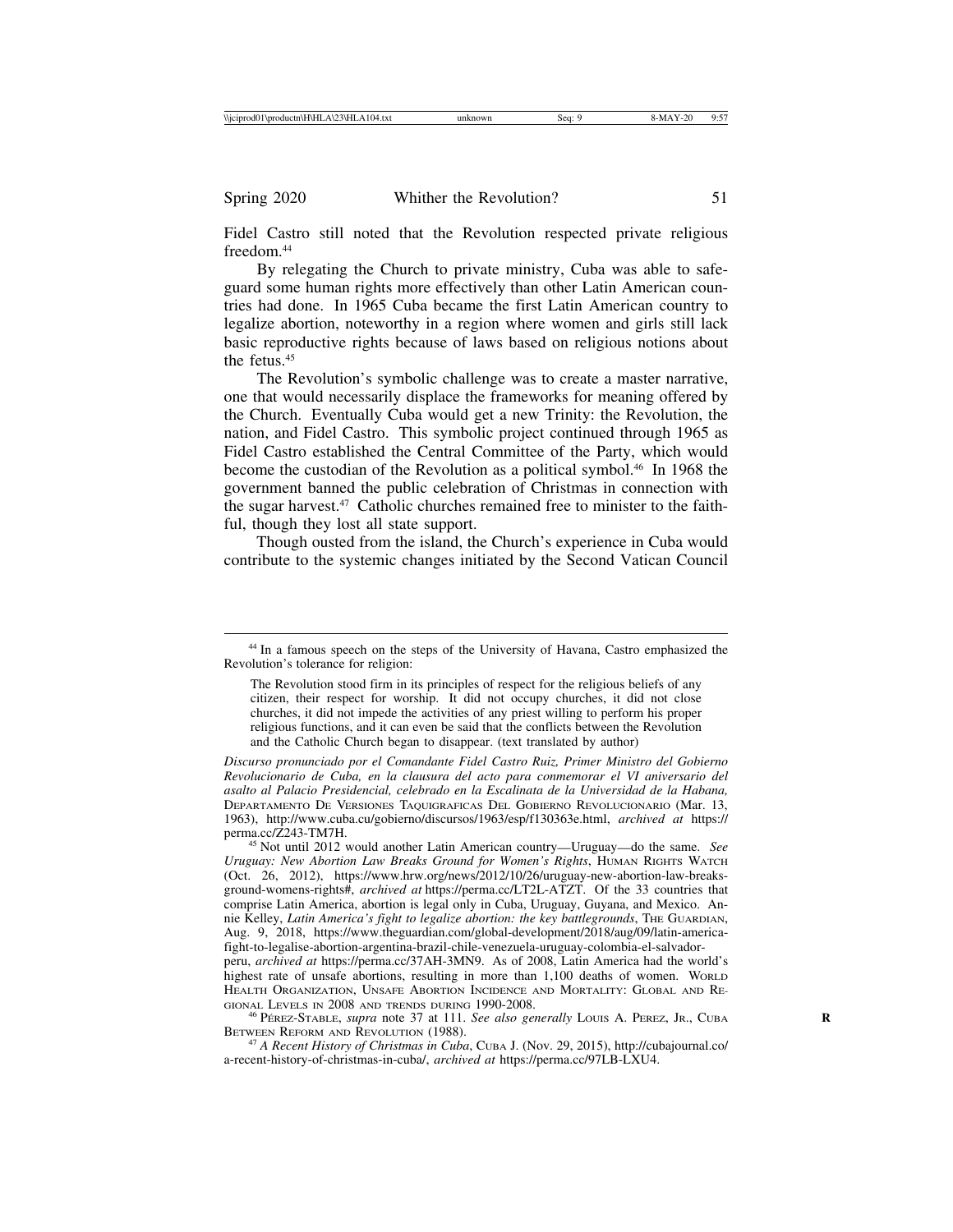Fidel Castro still noted that the Revolution respected private religious freedom.44

By relegating the Church to private ministry, Cuba was able to safeguard some human rights more effectively than other Latin American countries had done. In 1965 Cuba became the first Latin American country to legalize abortion, noteworthy in a region where women and girls still lack basic reproductive rights because of laws based on religious notions about the fetus.<sup>45</sup>

The Revolution's symbolic challenge was to create a master narrative, one that would necessarily displace the frameworks for meaning offered by the Church. Eventually Cuba would get a new Trinity: the Revolution, the nation, and Fidel Castro. This symbolic project continued through 1965 as Fidel Castro established the Central Committee of the Party, which would become the custodian of the Revolution as a political symbol.46 In 1968 the government banned the public celebration of Christmas in connection with the sugar harvest.<sup>47</sup> Catholic churches remained free to minister to the faithful, though they lost all state support.

Though ousted from the island, the Church's experience in Cuba would contribute to the systemic changes initiated by the Second Vatican Council

<sup>45</sup> Not until 2012 would another Latin American country—Uruguay—do the same. *See Uruguay: New Abortion Law Breaks Ground for Women's Rights*, HUMAN RIGHTS WATCH (Oct. 26, 2012), https://www.hrw.org/news/2012/10/26/uruguay-new-abortion-law-breaksground-womens-rights#, *archived at* https://perma.cc/LT2L-ATZT. Of the 33 countries that comprise Latin America, abortion is legal only in Cuba, Uruguay, Guyana, and Mexico. Annie Kelley, *Latin America's fight to legalize abortion: the key battlegrounds*, THE GUARDIAN, Aug. 9, 2018, https://www.theguardian.com/global-development/2018/aug/09/latin-americafight-to-legalise-abortion-argentina-brazil-chile-venezuela-uruguay-colombia-el-salvador-

peru, *archived at* https://perma.cc/37AH-3MN9. As of 2008, Latin America had the world's highest rate of unsafe abortions, resulting in more than 1,100 deaths of women. WORLD HEALTH ORGANIZATION, UNSAFE ABORTION INCIDENCE AND MORTALITY: GLOBAL AND RE-GIONAL LEVELS IN 2008 AND TRENDS DURING 1990-2008.<br><sup>46</sup> Pérez-Stable, *supra* note 37 at 111. *See also generally* Louis A. Perez, Jr., Cuba **R** 

BETWEEN REFORM AND REVOLUTION (1988).

<sup>44</sup> In a famous speech on the steps of the University of Havana, Castro emphasized the Revolution's tolerance for religion:

The Revolution stood firm in its principles of respect for the religious beliefs of any citizen, their respect for worship. It did not occupy churches, it did not close churches, it did not impede the activities of any priest willing to perform his proper religious functions, and it can even be said that the conflicts between the Revolution and the Catholic Church began to disappear. (text translated by author)

*Discurso pronunciado por el Comandante Fidel Castro Ruiz, Primer Ministro del Gobierno Revolucionario de Cuba, en la clausura del acto para conmemorar el VI aniversario del asalto al Palacio Presidencial, celebrado en la Escalinata de la Universidad de la Habana,* DEPARTAMENTO DE VERSIONES TAQUIGRAFICAS DEL GOBIERNO REVOLUCIONARIO (Mar. 13, 1963), http://www.cuba.cu/gobierno/discursos/1963/esp/f130363e.html, *archived at* https://

<sup>47</sup> *A Recent History of Christmas in Cuba*, CUBA J. (Nov. 29, 2015), http://cubajournal.co/ a-recent-history-of-christmas-in-cuba/, *archived at* https://perma.cc/97LB-LXU4.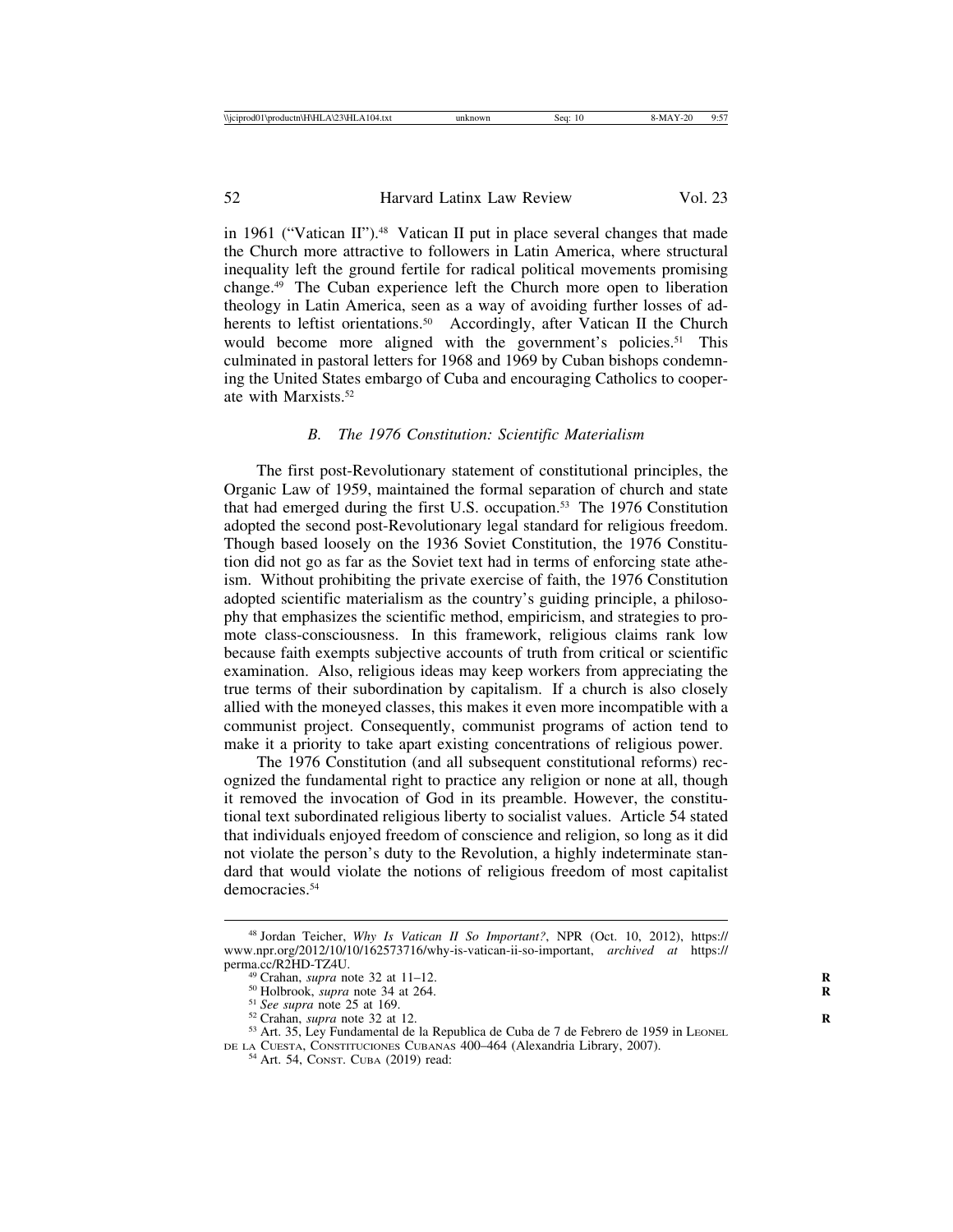in 1961 ("Vatican II").<sup>48</sup> Vatican II put in place several changes that made the Church more attractive to followers in Latin America, where structural inequality left the ground fertile for radical political movements promising change.49 The Cuban experience left the Church more open to liberation theology in Latin America, seen as a way of avoiding further losses of adherents to leftist orientations.<sup>50</sup> Accordingly, after Vatican II the Church would become more aligned with the government's policies.<sup>51</sup> This culminated in pastoral letters for 1968 and 1969 by Cuban bishops condemning the United States embargo of Cuba and encouraging Catholics to cooperate with Marxists.52

## *B. The 1976 Constitution: Scientific Materialism*

The first post-Revolutionary statement of constitutional principles, the Organic Law of 1959, maintained the formal separation of church and state that had emerged during the first U.S. occupation.53 The 1976 Constitution adopted the second post-Revolutionary legal standard for religious freedom. Though based loosely on the 1936 Soviet Constitution, the 1976 Constitution did not go as far as the Soviet text had in terms of enforcing state atheism. Without prohibiting the private exercise of faith, the 1976 Constitution adopted scientific materialism as the country's guiding principle, a philosophy that emphasizes the scientific method, empiricism, and strategies to promote class-consciousness. In this framework, religious claims rank low because faith exempts subjective accounts of truth from critical or scientific examination. Also, religious ideas may keep workers from appreciating the true terms of their subordination by capitalism. If a church is also closely allied with the moneyed classes, this makes it even more incompatible with a communist project. Consequently, communist programs of action tend to make it a priority to take apart existing concentrations of religious power.

The 1976 Constitution (and all subsequent constitutional reforms) recognized the fundamental right to practice any religion or none at all, though it removed the invocation of God in its preamble. However, the constitutional text subordinated religious liberty to socialist values. Article 54 stated that individuals enjoyed freedom of conscience and religion, so long as it did not violate the person's duty to the Revolution, a highly indeterminate standard that would violate the notions of religious freedom of most capitalist democracies.<sup>54</sup>

<sup>48</sup> Jordan Teicher, *Why Is Vatican II So Important?*, NPR (Oct. 10, 2012), https:// www.npr.org/2012/10/10/162573716/why-is-vatican-ii-so-important, *archived at* https://

<sup>&</sup>lt;sup>49</sup> Crahan, *supra* note 32 at 11–12.<br>
<sup>50</sup> Holbrook, *supra* note 34 at 264.<br>
<sup>51</sup> *See supra* note 25 at 169.<br>
<sup>52</sup> Crahan, *supra* note 32 at 12.<br>
<sup>53</sup> Art. 35, Ley Fundamental de la Republica de Cuba de 7 de Febrero

DE LA CUESTA, CONSTITUCIONES CUBANAS 400-464 (Alexandria Library, 2007).<br><sup>54</sup> Art. 54, CONST. CUBA (2019) read: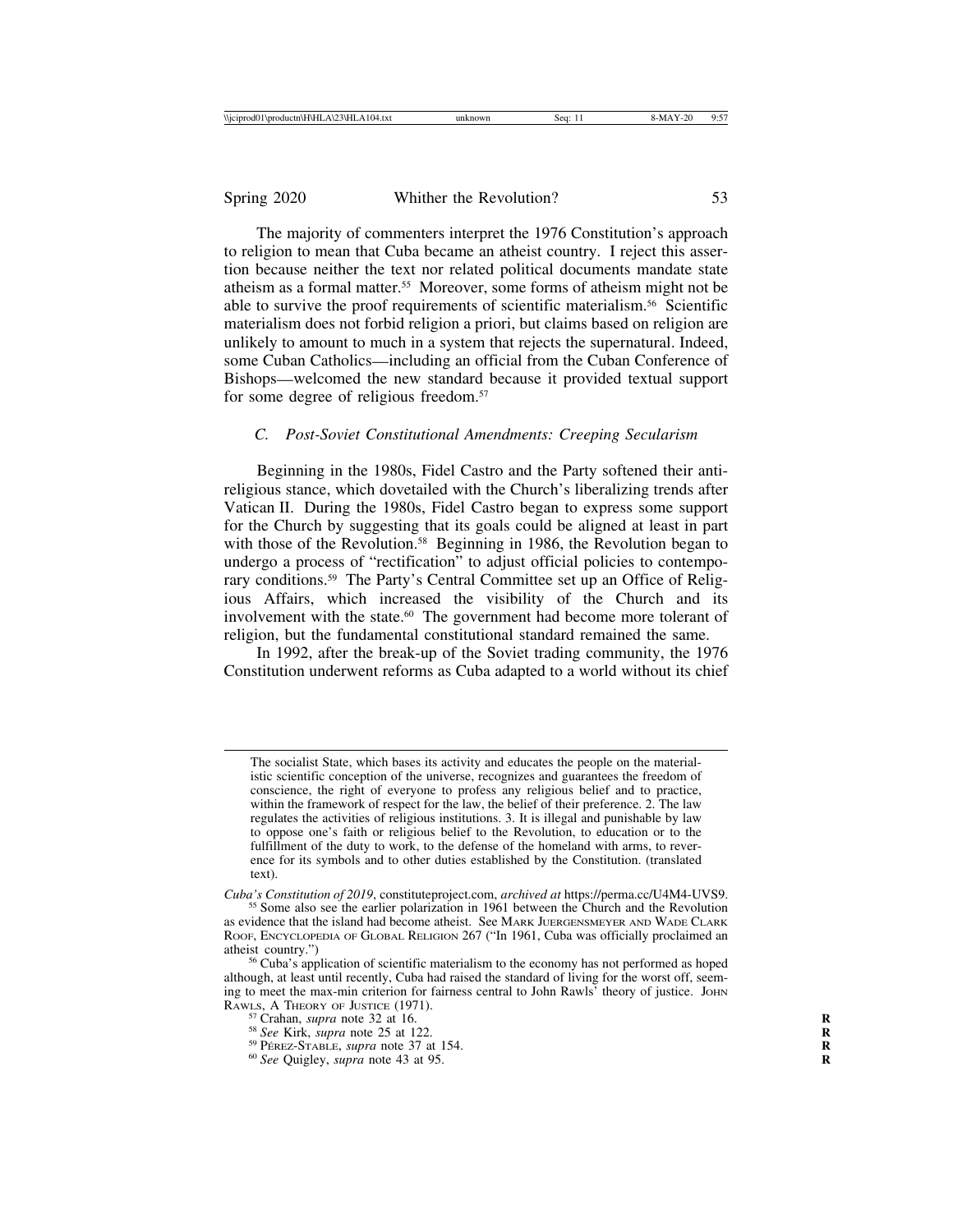The majority of commenters interpret the 1976 Constitution's approach to religion to mean that Cuba became an atheist country. I reject this assertion because neither the text nor related political documents mandate state atheism as a formal matter.55 Moreover, some forms of atheism might not be able to survive the proof requirements of scientific materialism.56 Scientific materialism does not forbid religion a priori, but claims based on religion are unlikely to amount to much in a system that rejects the supernatural. Indeed, some Cuban Catholics—including an official from the Cuban Conference of Bishops—welcomed the new standard because it provided textual support for some degree of religious freedom.57

## *C. Post-Soviet Constitutional Amendments: Creeping Secularism*

Beginning in the 1980s, Fidel Castro and the Party softened their antireligious stance, which dovetailed with the Church's liberalizing trends after Vatican II. During the 1980s, Fidel Castro began to express some support for the Church by suggesting that its goals could be aligned at least in part with those of the Revolution.<sup>58</sup> Beginning in 1986, the Revolution began to undergo a process of "rectification" to adjust official policies to contemporary conditions.<sup>59</sup> The Party's Central Committee set up an Office of Religious Affairs, which increased the visibility of the Church and its involvement with the state.<sup>60</sup> The government had become more tolerant of religion, but the fundamental constitutional standard remained the same.

In 1992, after the break-up of the Soviet trading community, the 1976 Constitution underwent reforms as Cuba adapted to a world without its chief

The socialist State, which bases its activity and educates the people on the materialistic scientific conception of the universe, recognizes and guarantees the freedom of conscience, the right of everyone to profess any religious belief and to practice, within the framework of respect for the law, the belief of their preference. 2. The law regulates the activities of religious institutions. 3. It is illegal and punishable by law to oppose one's faith or religious belief to the Revolution, to education or to the fulfillment of the duty to work, to the defense of the homeland with arms, to reverence for its symbols and to other duties established by the Constitution. (translated text).

*Cuba's Constitution of 2019*, constituteproject.com, *archived at* https://perma.cc/U4M4-UVS9. <sup>55</sup> Some also see the earlier polarization in 1961 between the Church and the Revolution

as evidence that the island had become atheist. See MARK JUERGENSMEYER AND WADE CLARK ROOF, ENCYCLOPEDIA OF GLOBAL RELIGION 267 ("In 1961, Cuba was officially proclaimed an atheist country.")<br><sup>56</sup> Cuba's application of scientific materialism to the economy has not performed as hoped

although, at least until recently, Cuba had raised the standard of living for the worst off, seeming to meet the max-min criterion for fairness central to John Rawls' theory of justice. JOHN RAWLS, A THEORY OF JUSTICE (1971).<br>
<sup>57</sup> Crahan, *supra* note 32 at 16.<br>
<sup>58</sup> See Kirk, *supra* note 25 at 122.<br>
<sup>59</sup> PÉREZ-STABLE, *supra* note 37 at 154.<br>
<sup>60</sup> See Quigley, *supra* note 43 at 95.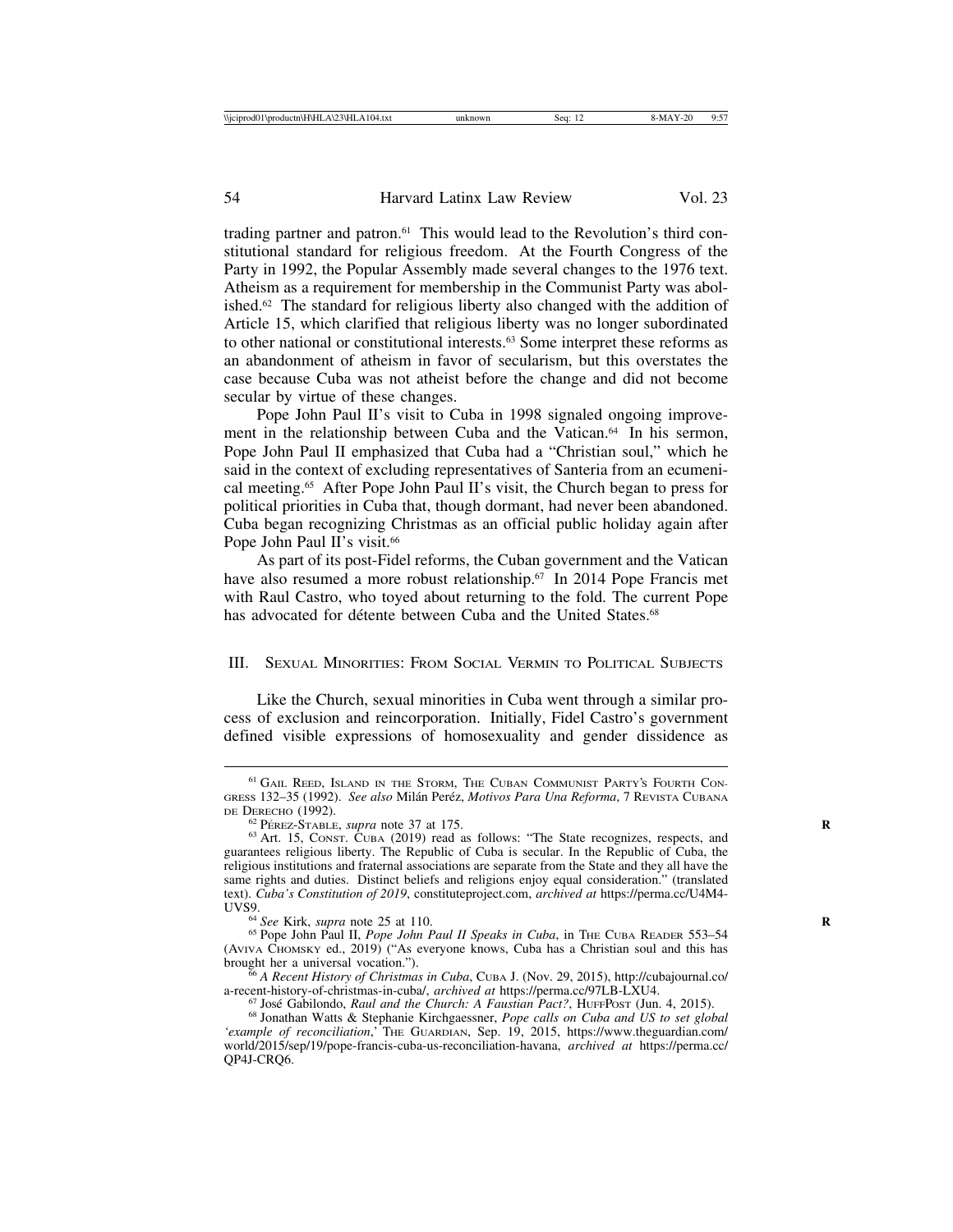trading partner and patron.61 This would lead to the Revolution's third constitutional standard for religious freedom. At the Fourth Congress of the Party in 1992, the Popular Assembly made several changes to the 1976 text. Atheism as a requirement for membership in the Communist Party was abolished.62 The standard for religious liberty also changed with the addition of Article 15, which clarified that religious liberty was no longer subordinated to other national or constitutional interests.63 Some interpret these reforms as an abandonment of atheism in favor of secularism, but this overstates the case because Cuba was not atheist before the change and did not become secular by virtue of these changes.

Pope John Paul II's visit to Cuba in 1998 signaled ongoing improvement in the relationship between Cuba and the Vatican.<sup>64</sup> In his sermon, Pope John Paul II emphasized that Cuba had a "Christian soul," which he said in the context of excluding representatives of Santeria from an ecumenical meeting.65 After Pope John Paul II's visit, the Church began to press for political priorities in Cuba that, though dormant, had never been abandoned. Cuba began recognizing Christmas as an official public holiday again after Pope John Paul II's visit.<sup>66</sup>

As part of its post-Fidel reforms, the Cuban government and the Vatican have also resumed a more robust relationship.67 In 2014 Pope Francis met with Raul Castro, who toyed about returning to the fold. The current Pope has advocated for détente between Cuba and the United States.<sup>68</sup>

## III. SEXUAL MINORITIES: FROM SOCIAL VERMIN TO POLITICAL SUBJECTS

Like the Church, sexual minorities in Cuba went through a similar process of exclusion and reincorporation. Initially, Fidel Castro's government defined visible expressions of homosexuality and gender dissidence as

<sup>61</sup> GAIL REED, ISLAND IN THE STORM, THE CUBAN COMMUNIST PARTY'S FOURTH CON-GRESS 132-35 (1992). *See also* Milán Peréz, *Motivos Para Una Reforma*, 7 REVISTA CUBANA DE DERECHO (1992).

 $^{62}$  Pérez-Stable, *supra* note 37 at 175.<br><sup>63</sup> Art. 15, Const. Cuba (2019) read as follows: "The State recognizes, respects, and guarantees religious liberty. The Republic of Cuba is secular. In the Republic of Cuba, the religious institutions and fraternal associations are separate from the State and they all have the same rights and duties. Distinct beliefs and religions enjoy equal consideration." (translated text). *Cuba's Constitution of 2019*, constituteproject.com, *archived at* https://perma.cc/U4M4-

<sup>&</sup>lt;sup>64</sup> *See* Kirk, *supra* note 25 at 110. **R** 65 Pope John Paul II Speaks in Cuba, in The CUBA READER 553–54 **R** (AVIVA CHOMSKY ed., 2019) ("As everyone knows, Cuba has a Christian soul and this has

brought her a universal vocation."). <sup>66</sup> *A Recent History of Christmas in Cuba*, CUBA J. (Nov. 29, 2015), http://cubajournal.co/

<sup>&</sup>lt;sup>67</sup> José Gabilondo, *Raul and the Church: A Faustian Pact?*, HUFFPOST (Jun. 4, 2015).<br><sup>68</sup> Jonathan Watts & Stephanie Kirchgaessner, *Pope calls on Cuba and US to set global 'example of reconciliation*,' THE GUARDIAN, Sep. 19, 2015, https://www.theguardian.com/ world/2015/sep/19/pope-francis-cuba-us-reconciliation-havana, *archived at* https://perma.cc/ QP4J-CRQ6.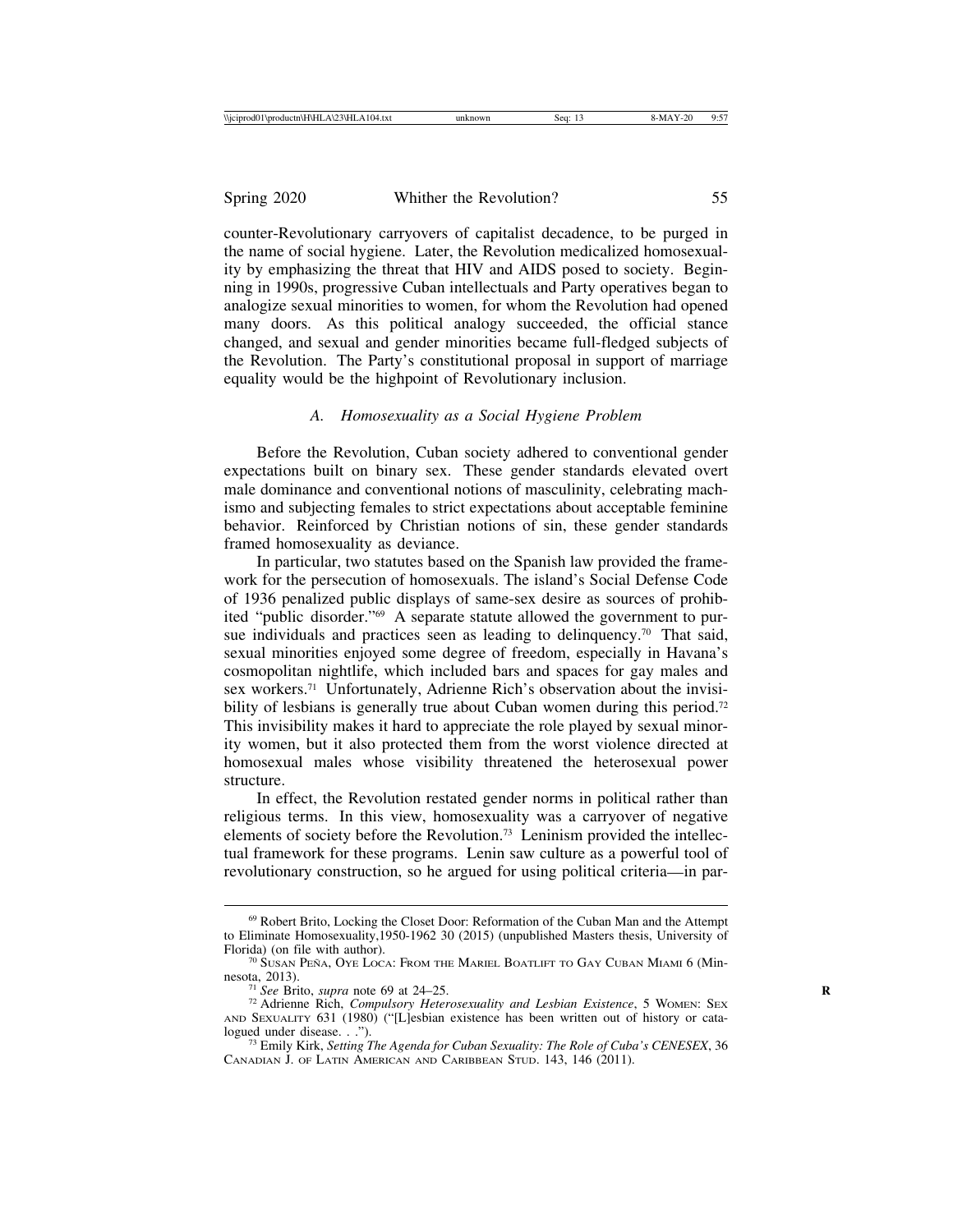counter-Revolutionary carryovers of capitalist decadence, to be purged in the name of social hygiene. Later, the Revolution medicalized homosexuality by emphasizing the threat that HIV and AIDS posed to society. Beginning in 1990s, progressive Cuban intellectuals and Party operatives began to analogize sexual minorities to women, for whom the Revolution had opened many doors. As this political analogy succeeded, the official stance changed, and sexual and gender minorities became full-fledged subjects of the Revolution. The Party's constitutional proposal in support of marriage equality would be the highpoint of Revolutionary inclusion.

#### *A. Homosexuality as a Social Hygiene Problem*

Before the Revolution, Cuban society adhered to conventional gender expectations built on binary sex. These gender standards elevated overt male dominance and conventional notions of masculinity, celebrating machismo and subjecting females to strict expectations about acceptable feminine behavior. Reinforced by Christian notions of sin, these gender standards framed homosexuality as deviance.

In particular, two statutes based on the Spanish law provided the framework for the persecution of homosexuals. The island's Social Defense Code of 1936 penalized public displays of same-sex desire as sources of prohibited "public disorder."69 A separate statute allowed the government to pursue individuals and practices seen as leading to delinquency.<sup>70</sup> That said, sexual minorities enjoyed some degree of freedom, especially in Havana's cosmopolitan nightlife, which included bars and spaces for gay males and sex workers.71 Unfortunately, Adrienne Rich's observation about the invisibility of lesbians is generally true about Cuban women during this period.<sup>72</sup> This invisibility makes it hard to appreciate the role played by sexual minority women, but it also protected them from the worst violence directed at homosexual males whose visibility threatened the heterosexual power structure.

In effect, the Revolution restated gender norms in political rather than religious terms. In this view, homosexuality was a carryover of negative elements of society before the Revolution.73 Leninism provided the intellectual framework for these programs. Lenin saw culture as a powerful tool of revolutionary construction, so he argued for using political criteria—in par-

<sup>69</sup> Robert Brito, Locking the Closet Door: Reformation of the Cuban Man and the Attempt to Eliminate Homosexuality,1950-1962 30 (2015) (unpublished Masters thesis, University of Florida) (on file with author). The MARIEL BOATLIFT TO GAY CUBAN MIAMI 6 (Min-<sup>70</sup> Susan Peña, Oye Loca: From the Mariel Boatlift to Gay Cuban Miami 6 (Min-

nesota, 2013).<br><sup>71</sup> *See* Brito, *supra* note 69 at 24–25.<br><sup>72</sup> Adrienne Rich, *Compulsory Heterosexuality and Lesbian Existence*, 5 WOMEN: SEX AND SEXUALITY 631 (1980) ("[L]esbian existence has been written out of history or cata-<br>logued under disease. . .").

<sup>&</sup>lt;sup>73</sup> Emily Kirk, *Setting The Agenda for Cuban Sexuality: The Role of Cuba's CENESEX*, 36 CANADIAN J. OF LATIN AMERICAN AND CARIBBEAN STUD. 143, 146 (2011).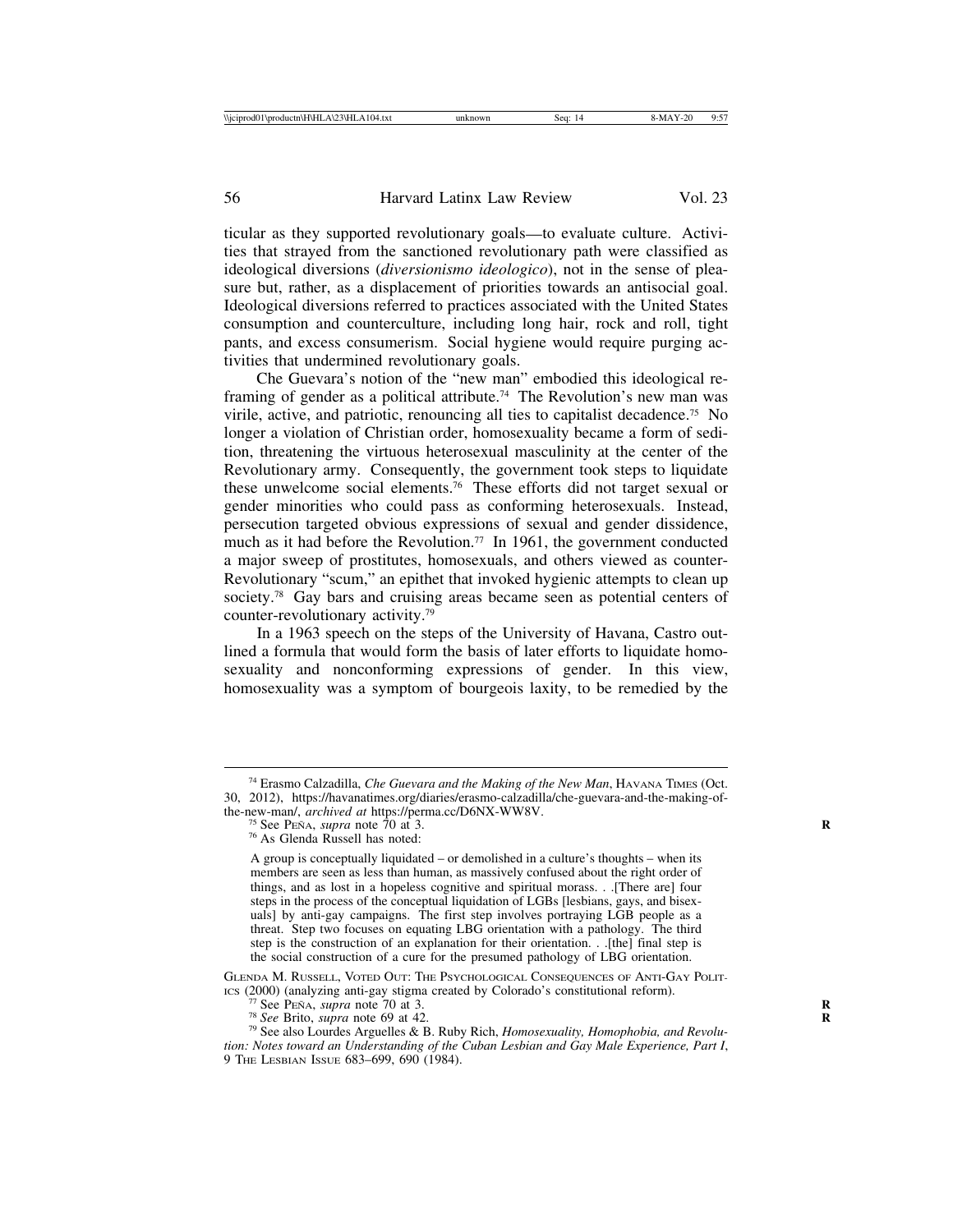ticular as they supported revolutionary goals—to evaluate culture. Activities that strayed from the sanctioned revolutionary path were classified as ideological diversions (*diversionismo ideologico*), not in the sense of pleasure but, rather, as a displacement of priorities towards an antisocial goal. Ideological diversions referred to practices associated with the United States consumption and counterculture, including long hair, rock and roll, tight pants, and excess consumerism. Social hygiene would require purging activities that undermined revolutionary goals.

Che Guevara's notion of the "new man" embodied this ideological reframing of gender as a political attribute.<sup>74</sup> The Revolution's new man was virile, active, and patriotic, renouncing all ties to capitalist decadence.75 No longer a violation of Christian order, homosexuality became a form of sedition, threatening the virtuous heterosexual masculinity at the center of the Revolutionary army. Consequently, the government took steps to liquidate these unwelcome social elements.76 These efforts did not target sexual or gender minorities who could pass as conforming heterosexuals. Instead, persecution targeted obvious expressions of sexual and gender dissidence, much as it had before the Revolution.<sup>77</sup> In 1961, the government conducted a major sweep of prostitutes, homosexuals, and others viewed as counter-Revolutionary "scum," an epithet that invoked hygienic attempts to clean up society.<sup>78</sup> Gay bars and cruising areas became seen as potential centers of counter-revolutionary activity.79

In a 1963 speech on the steps of the University of Havana, Castro outlined a formula that would form the basis of later efforts to liquidate homosexuality and nonconforming expressions of gender. In this view, homosexuality was a symptom of bourgeois laxity, to be remedied by the

<sup>74</sup> Erasmo Calzadilla, *Che Guevara and the Making of the New Man*, HAVANA TIMES (Oct. 30, 2012), https://havanatimes.org/diaries/erasmo-calzadilla/che-guevara-and-the-making-ofthe-new-man/, *archived at https://perma.cc/D6NX-WW8V.* <sup>75</sup> See PENA, *supra* note 70 at 3. **R** <sup>76</sup> As Glenda Russell has noted:

A group is conceptually liquidated – or demolished in a culture's thoughts – when its members are seen as less than human, as massively confused about the right order of things, and as lost in a hopeless cognitive and spiritual morass. . .[There are] four steps in the process of the conceptual liquidation of LGBs [lesbians, gays, and bisexuals] by anti-gay campaigns. The first step involves portraying LGB people as a threat. Step two focuses on equating LBG orientation with a pathology. The third step is the construction of an explanation for their orientation. . .[the] final step is the social construction of a cure for the presumed pathology of LBG orientation.

GLENDA M. RUSSELL, VOTED OUT: THE PSYCHOLOGICAL CONSEQUENCES OF ANTI-GAY POLIT-ICS (2000) (analyzing anti-gay stigma created by Colorado's constitutional reform).

<sup>&</sup>lt;sup>77</sup> See Peña, *supra* note 70 at 3.<br><sup>78</sup> *See* Brito, *supra* note 69 at 42. **R**<br><sup>79</sup> See also Lourdes Arguelles & B. Ruby Rich, *Homosexuality, Homophobia, and Revolution: Notes toward an Understanding of the Cuban Lesbian and Gay Male Experience, Part I*, 9 THE LESBIAN ISSUE 683–699, 690 (1984).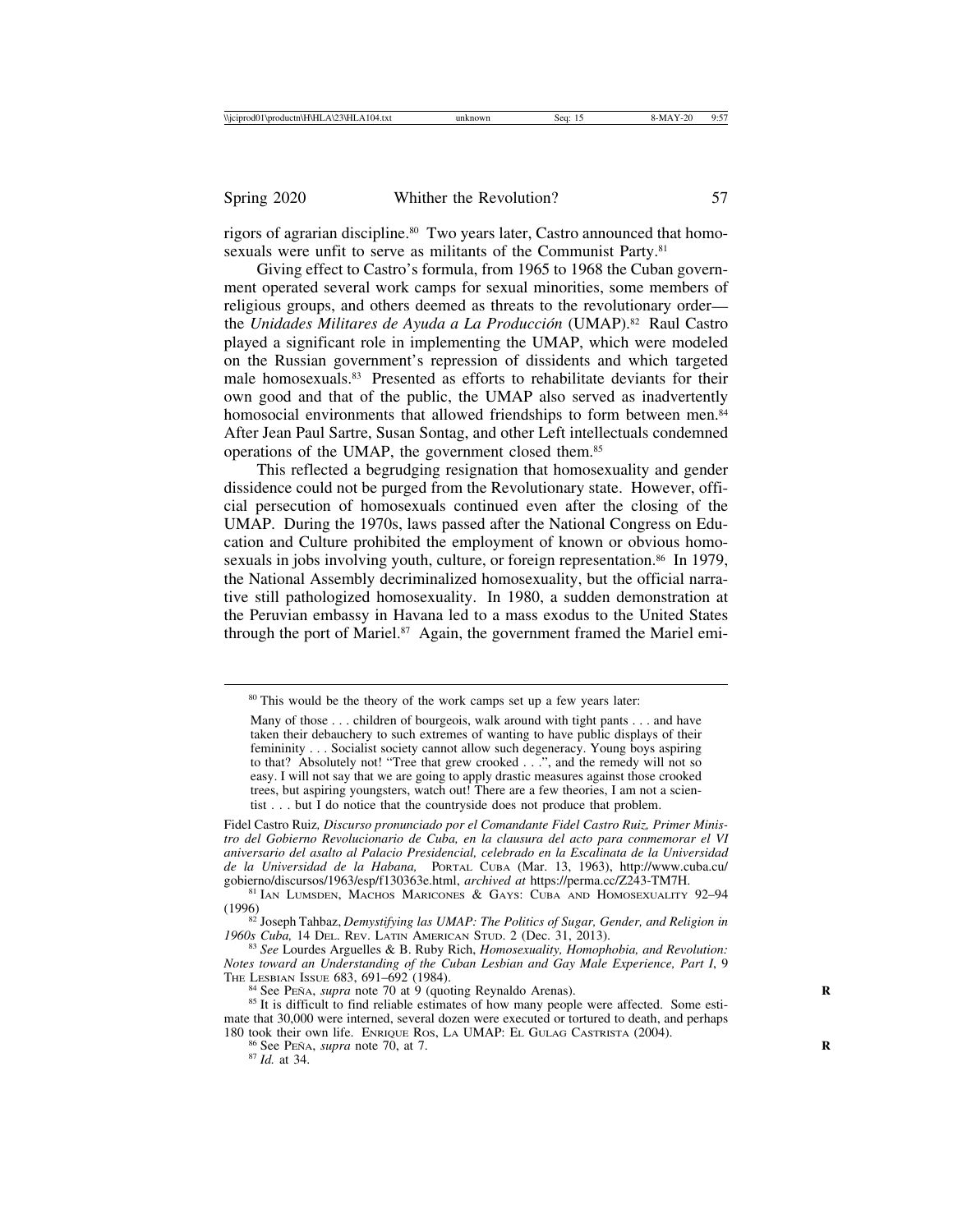rigors of agrarian discipline.<sup>80</sup> Two years later, Castro announced that homosexuals were unfit to serve as militants of the Communist Party.<sup>81</sup>

Giving effect to Castro's formula, from 1965 to 1968 the Cuban government operated several work camps for sexual minorities, some members of religious groups, and others deemed as threats to the revolutionary order the *Unidades Militares de Ayuda a La Producción* (UMAP).<sup>82</sup> Raul Castro played a significant role in implementing the UMAP, which were modeled on the Russian government's repression of dissidents and which targeted male homosexuals.83 Presented as efforts to rehabilitate deviants for their own good and that of the public, the UMAP also served as inadvertently homosocial environments that allowed friendships to form between men.<sup>84</sup> After Jean Paul Sartre, Susan Sontag, and other Left intellectuals condemned operations of the UMAP, the government closed them.85

This reflected a begrudging resignation that homosexuality and gender dissidence could not be purged from the Revolutionary state. However, official persecution of homosexuals continued even after the closing of the UMAP. During the 1970s, laws passed after the National Congress on Education and Culture prohibited the employment of known or obvious homosexuals in jobs involving youth, culture, or foreign representation.<sup>86</sup> In 1979, the National Assembly decriminalized homosexuality, but the official narrative still pathologized homosexuality. In 1980, a sudden demonstration at the Peruvian embassy in Havana led to a mass exodus to the United States through the port of Mariel.<sup>87</sup> Again, the government framed the Mariel emi-

<sup>&</sup>lt;sup>80</sup> This would be the theory of the work camps set up a few years later:

Many of those . . . children of bourgeois, walk around with tight pants . . . and have taken their debauchery to such extremes of wanting to have public displays of their femininity . . . Socialist society cannot allow such degeneracy. Young boys aspiring to that? Absolutely not! "Tree that grew crooked . . .", and the remedy will not so easy. I will not say that we are going to apply drastic measures against those crooked trees, but aspiring youngsters, watch out! There are a few theories, I am not a scientist . . . but I do notice that the countryside does not produce that problem.

Fidel Castro Ruiz*, Discurso pronunciado por el Comandante Fidel Castro Ruiz, Primer Ministro del Gobierno Revolucionario de Cuba, en la clausura del acto para conmemorar el VI aniversario del asalto al Palacio Presidencial, celebrado en la Escalinata de la Universidad de la Universidad de la Habana,* PORTAL CUBA (Mar. 13, 1963), http://www.cuba.cu/ gobierno/discursos/1963/esp/f130363e.html, *archived at* https://perma.cc/Z243-TM7H. <sup>81</sup> IAN LUMSDEN, MACHOS MARICONES & GAYS: CUBA AND HOMOSEXUALITY 92–<sup>94</sup>

<sup>(1996)</sup>

<sup>&</sup>lt;sup>82</sup> Joseph Tahbaz, *Demystifying las UMAP: The Politics of Sugar, Gender, and Religion in* 1960s Cuba, 14 DEL. REV. LATIN AMERICAN STUD. 2 (Dec. 31, 2013).

<sup>&</sup>lt;sup>83</sup> See Lourdes Arguelles & B. Ruby Rich, *Homosexuality, Homophobia, and Revolution: Notes toward an Understanding of the Cuban Lesbian and Gay Male Experience, Part I*, 9

<sup>&</sup>lt;sup>84</sup> See PENA, *supra* note 70 at 9 (quoting Reynaldo Arenas). **R** 85 It is difficult to find reliable estimates of how many people were affected. Some estimate that 30,000 were interned, several dozen were executed or tortured to death, and perhaps 180 took their own life. ENRIQUE ROS, LA UMAP: EL GULAG CASTRISTA (2004). <sup>86</sup> See PEÑA, *supra* note 70, at 7. **R** 87 *Id.* at 34.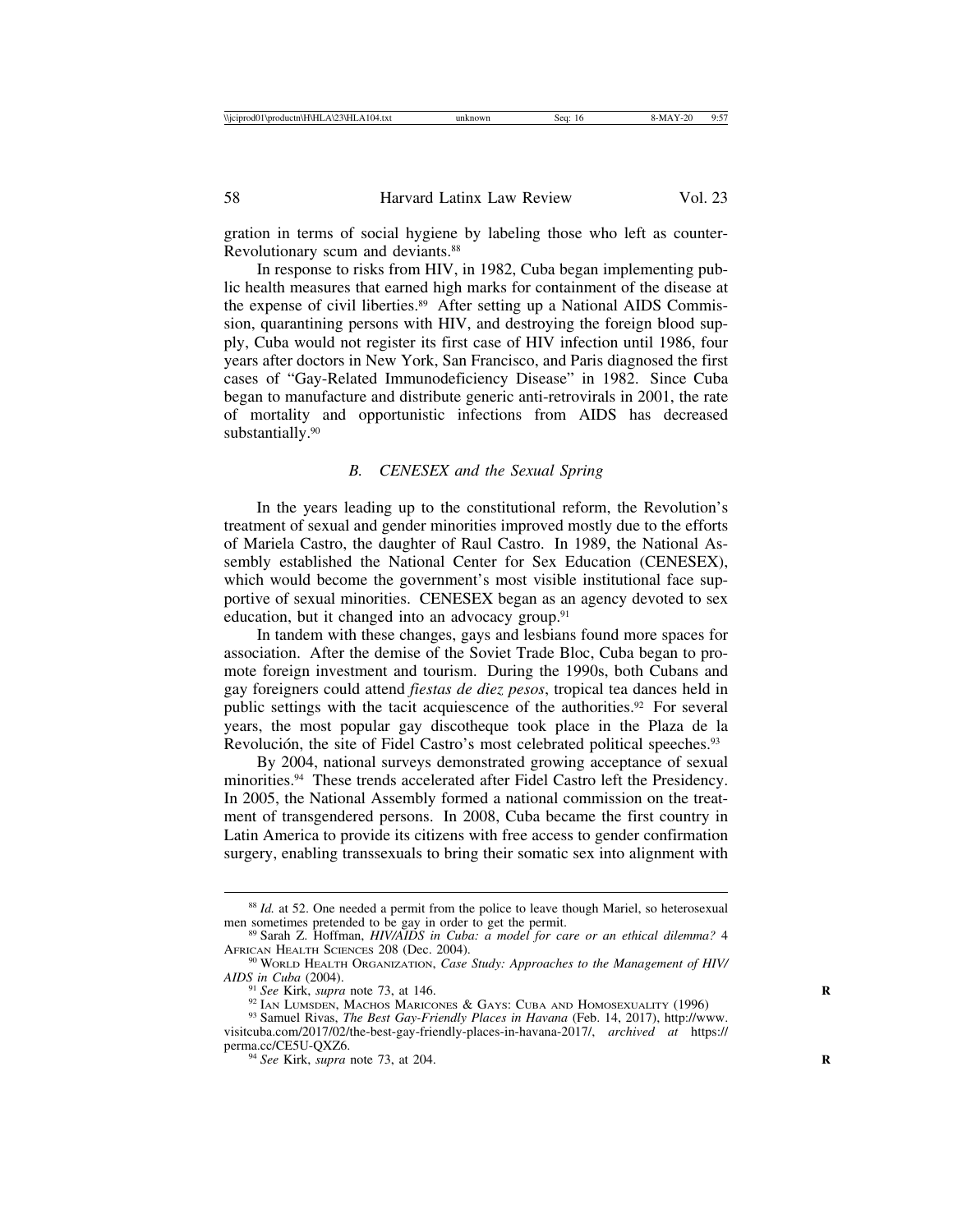gration in terms of social hygiene by labeling those who left as counter-Revolutionary scum and deviants.88

In response to risks from HIV, in 1982, Cuba began implementing public health measures that earned high marks for containment of the disease at the expense of civil liberties.<sup>89</sup> After setting up a National AIDS Commission, quarantining persons with HIV, and destroying the foreign blood supply, Cuba would not register its first case of HIV infection until 1986, four years after doctors in New York, San Francisco, and Paris diagnosed the first cases of "Gay-Related Immunodeficiency Disease" in 1982. Since Cuba began to manufacture and distribute generic anti-retrovirals in 2001, the rate of mortality and opportunistic infections from AIDS has decreased substantially.<sup>90</sup>

## *B. CENESEX and the Sexual Spring*

In the years leading up to the constitutional reform, the Revolution's treatment of sexual and gender minorities improved mostly due to the efforts of Mariela Castro, the daughter of Raul Castro. In 1989, the National Assembly established the National Center for Sex Education (CENESEX), which would become the government's most visible institutional face supportive of sexual minorities. CENESEX began as an agency devoted to sex education, but it changed into an advocacy group.<sup>91</sup>

In tandem with these changes, gays and lesbians found more spaces for association. After the demise of the Soviet Trade Bloc, Cuba began to promote foreign investment and tourism. During the 1990s, both Cubans and gay foreigners could attend *fiestas de diez pesos*, tropical tea dances held in public settings with the tacit acquiescence of the authorities.<sup>92</sup> For several years, the most popular gay discotheque took place in the Plaza de la Revolución, the site of Fidel Castro's most celebrated political speeches.<sup>93</sup>

By 2004, national surveys demonstrated growing acceptance of sexual minorities.94 These trends accelerated after Fidel Castro left the Presidency. In 2005, the National Assembly formed a national commission on the treatment of transgendered persons. In 2008, Cuba became the first country in Latin America to provide its citizens with free access to gender confirmation surgery, enabling transsexuals to bring their somatic sex into alignment with

<sup>&</sup>lt;sup>88</sup> *Id.* at 52. One needed a permit from the police to leave though Mariel, so heterosexual men sometimes pretended to be gay in order to get the permit.

<sup>&</sup>lt;sup>89</sup> Sarah Z. Hoffman, *HIV/AIDS in Cuba: a model for care or an ethical dilemma?* 4

AFRICAN HEALTH SCIENCES 208 (Dec. 2004). <sup>90</sup> WORLD HEALTH ORGANIZATION, *Case Study: Approaches to the Management of HIV/*<br>*AIDS in Cuba* (2004).

<sup>&</sup>lt;sup>91</sup> *See* Kirk, *supra* note 73, at 146. **R** 92 IAN LUMSDEN, MACHOS MARICONES & GAYS: CUBA AND HOMOSEXUALITY (1996)

<sup>93</sup> Samuel Rivas, *The Best Gay-Friendly Places in Havana* (Feb. 14, 2017), http://www.

visitcuba.com/2017/02/the-best-gay-friendly-places-in-havana-2017/, *archived at* https:// <sup>94</sup> *See* Kirk, *supra* note 73, at 204. **R**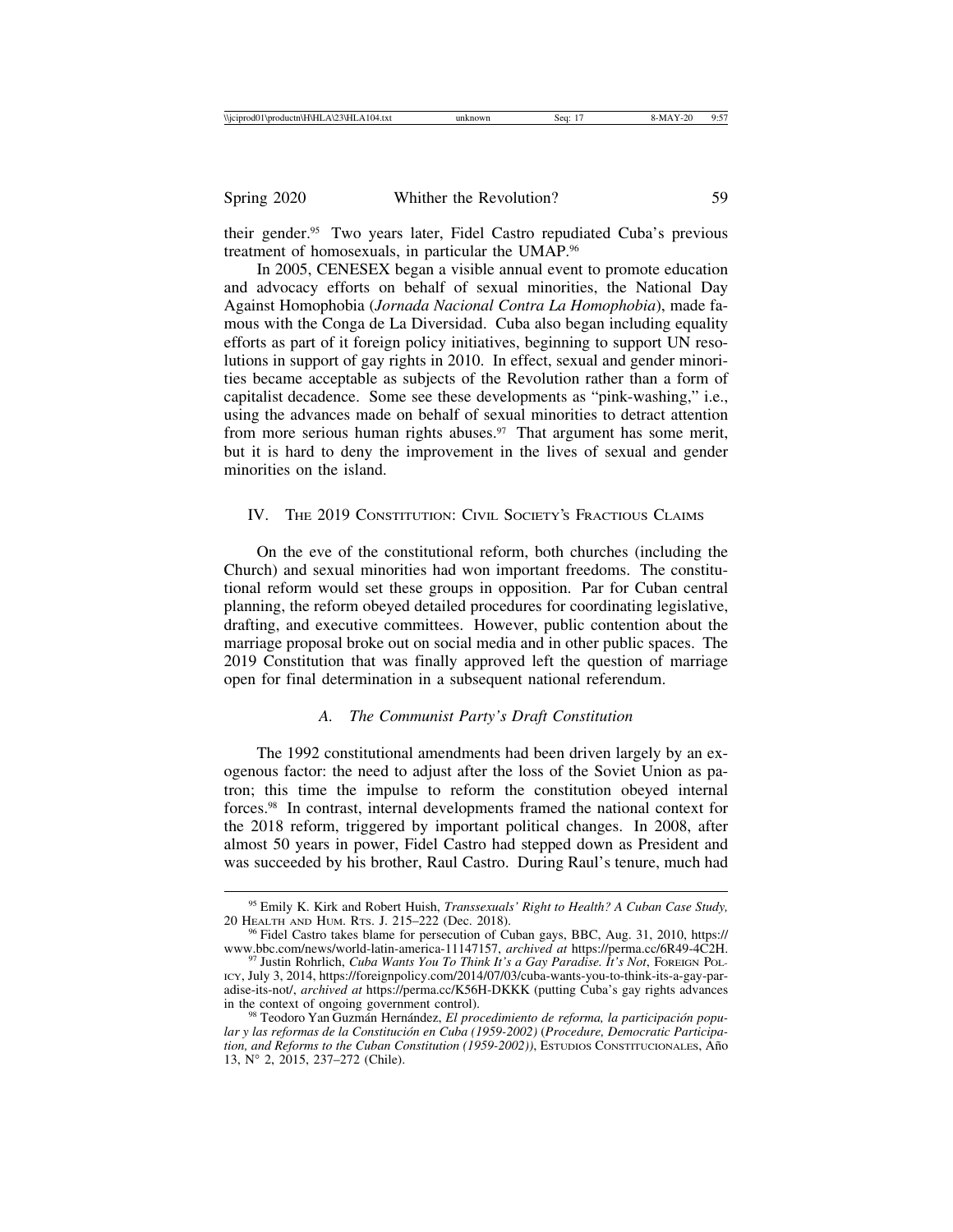| \\iciprod01\productn\H\HLA\23\HLA104.txt | unknowr<br>Sea <sup>.</sup> | $-$<br>1-20<br>0.5<br>8-MA<br>. |
|------------------------------------------|-----------------------------|---------------------------------|
|------------------------------------------|-----------------------------|---------------------------------|

their gender.95 Two years later, Fidel Castro repudiated Cuba's previous treatment of homosexuals, in particular the UMAP.96

In 2005, CENESEX began a visible annual event to promote education and advocacy efforts on behalf of sexual minorities, the National Day Against Homophobia (*Jornada Nacional Contra La Homophobia*), made famous with the Conga de La Diversidad. Cuba also began including equality efforts as part of it foreign policy initiatives, beginning to support UN resolutions in support of gay rights in 2010. In effect, sexual and gender minorities became acceptable as subjects of the Revolution rather than a form of capitalist decadence. Some see these developments as "pink-washing," i.e., using the advances made on behalf of sexual minorities to detract attention from more serious human rights abuses. $97$  That argument has some merit, but it is hard to deny the improvement in the lives of sexual and gender minorities on the island.

# IV. THE 2019 CONSTITUTION: CIVIL SOCIETY'S FRACTIOUS CLAIMS

On the eve of the constitutional reform, both churches (including the Church) and sexual minorities had won important freedoms. The constitutional reform would set these groups in opposition. Par for Cuban central planning, the reform obeyed detailed procedures for coordinating legislative, drafting, and executive committees. However, public contention about the marriage proposal broke out on social media and in other public spaces. The 2019 Constitution that was finally approved left the question of marriage open for final determination in a subsequent national referendum.

#### *A. The Communist Party's Draft Constitution*

The 1992 constitutional amendments had been driven largely by an exogenous factor: the need to adjust after the loss of the Soviet Union as patron; this time the impulse to reform the constitution obeyed internal forces.98 In contrast, internal developments framed the national context for the 2018 reform, triggered by important political changes. In 2008, after almost 50 years in power, Fidel Castro had stepped down as President and was succeeded by his brother, Raul Castro. During Raul's tenure, much had

<sup>95</sup> Emily K. Kirk and Robert Huish, *Transsexuals' Right to Health? A Cuban Case Study,*

<sup>&</sup>lt;sup>96</sup> Fidel Castro takes blame for persecution of Cuban gays, BBC, Aug. 31, 2010, https:// www.bbc.com/news/world-latin-america-11147157, *archived at* https://perma.cc/6R49-4C2H. <sup>97</sup> Justin Rohrlich, *Cuba Wants You To Think It's a Gay Paradise. It's Not*, FOREIGN POL-

ICY, July 3, 2014, https://foreignpolicy.com/2014/07/03/cuba-wants-you-to-think-its-a-gay-paradise-its-not/, *archived at* https://perma.cc/K56H-DKKK (putting Cuba's gay rights advances

<sup>&</sup>lt;sup>98</sup> Teodoro Yan Guzmán Hernández, *El procedimiento de reforma, la participación popu*lar y las reformas de la Constitución en Cuba (1959-2002) (Procedure, Democratic Participa*tion, and Reforms to the Cuban Constitution (1959-2002))*, ESTUDIOS CONSTITUCIONALES, Año 13, N° 2, 2015, 237–272 (Chile).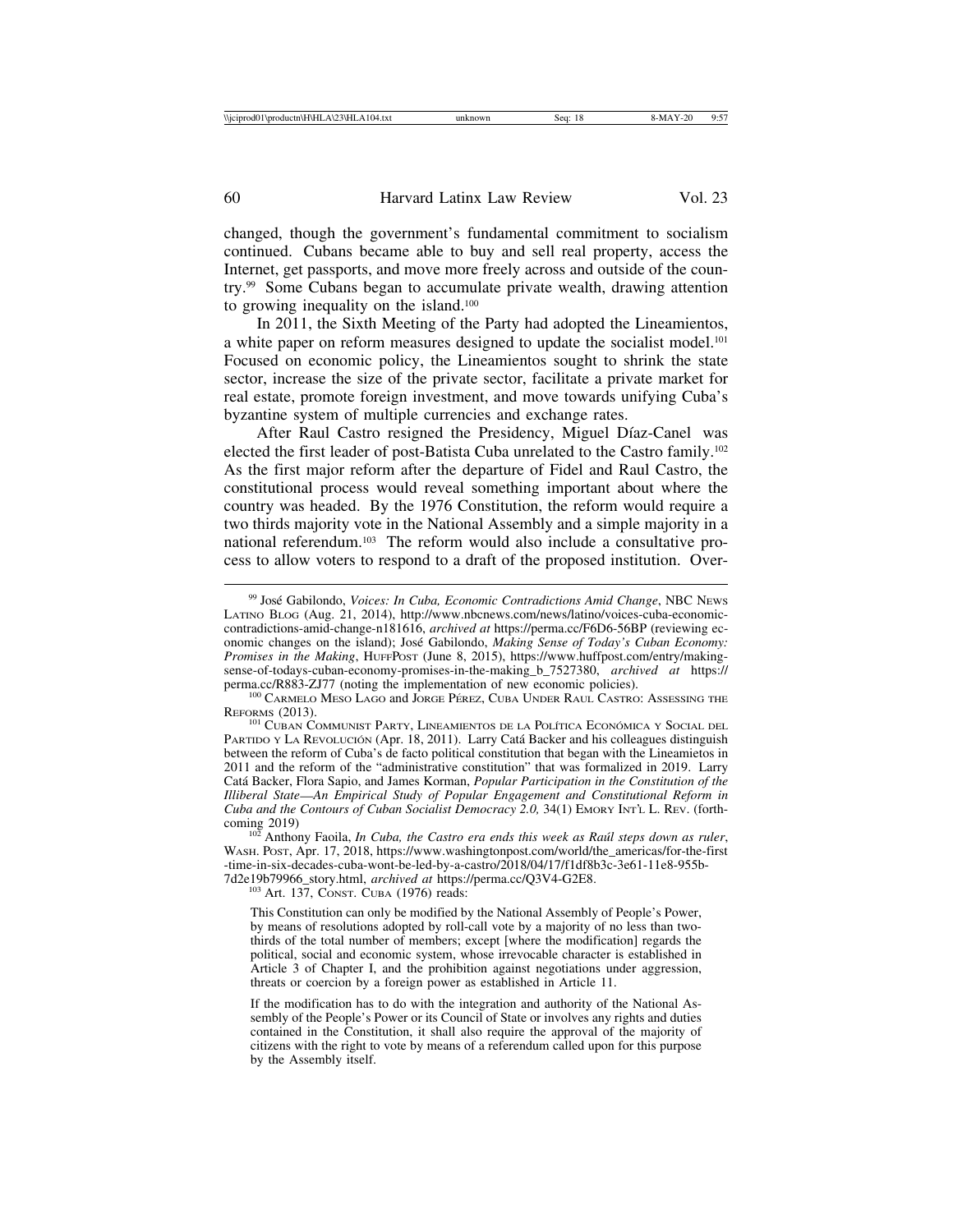changed, though the government's fundamental commitment to socialism continued. Cubans became able to buy and sell real property, access the Internet, get passports, and move more freely across and outside of the country.99 Some Cubans began to accumulate private wealth, drawing attention to growing inequality on the island.100

In 2011, the Sixth Meeting of the Party had adopted the Lineamientos, a white paper on reform measures designed to update the socialist model.<sup>101</sup> Focused on economic policy, the Lineamientos sought to shrink the state sector, increase the size of the private sector, facilitate a private market for real estate, promote foreign investment, and move towards unifying Cuba's byzantine system of multiple currencies and exchange rates.

After Raul Castro resigned the Presidency, Miguel Díaz-Canel was elected the first leader of post-Batista Cuba unrelated to the Castro family.102 As the first major reform after the departure of Fidel and Raul Castro, the constitutional process would reveal something important about where the country was headed. By the 1976 Constitution, the reform would require a two thirds majority vote in the National Assembly and a simple majority in a national referendum.103 The reform would also include a consultative process to allow voters to respond to a draft of the proposed institution. Over-

<sup>&</sup>lt;sup>99</sup> José Gabilondo, *Voices: In Cuba, Economic Contradictions Amid Change*, NBC NEws LATINO BLOG (Aug. 21, 2014), http://www.nbcnews.com/news/latino/voices-cuba-economiccontradictions-amid-change-n181616, *archived at* https://perma.cc/F6D6-56BP (reviewing economic changes on the island); José Gabilondo, *Making Sense of Today's Cuban Economy*: *Promises in the Making*, HUFFPOST (June 8, 2015), https://www.huffpost.com/entry/makingsense-of-todays-cuban-economy-promises-in-the-making\_b\_7527380, *archived at* https://

 $^{100}$  CARMELO MESO LAGO and JORGE PÉREZ, CUBA UNDER RAUL CASTRO: ASSESSING THE REFORMS (2013).

 $^{101}$  Cuban Communist Party, Lineamientos de la Política Económica y Social del PARTIDO Y LA REVOLUCIÓN (Apr. 18, 2011). Larry Catá Backer and his colleagues distinguish between the reform of Cuba's de facto political constitution that began with the Lineamietos in 2011 and the reform of the "administrative constitution" that was formalized in 2019. Larry Cat´a Backer, Flora Sapio, and James Korman, *Popular Participation in the Constitution of the Illiberal State*—*An Empirical Study of Popular Engagement and Constitutional Reform in Cuba and the Contours of Cuban Socialist Democracy 2.0,* 34(1) EMORY INT'L L. REV. (forthcoming 2019)<br><sup>102</sup> Anthony Faoila, *In Cuba, the Castro era ends this week as Raúl steps down as ruler*,

WASH. POST, Apr. 17, 2018, https://www.washingtonpost.com/world/the\_americas/for-the-first -time-in-six-decades-cuba-wont-be-led-by-a-castro/2018/04/17/f1df8b3c-3e61-11e8-955b-7d2e19b79966\_story.html, *archived at* https://perma.cc/Q3V4-G2E8. <sup>103</sup> Art. 137, CONST. CUBA (1976) reads:

This Constitution can only be modified by the National Assembly of People's Power, by means of resolutions adopted by roll-call vote by a majority of no less than twothirds of the total number of members; except [where the modification] regards the political, social and economic system, whose irrevocable character is established in Article 3 of Chapter I, and the prohibition against negotiations under aggression, threats or coercion by a foreign power as established in Article 11.

If the modification has to do with the integration and authority of the National Assembly of the People's Power or its Council of State or involves any rights and duties contained in the Constitution, it shall also require the approval of the majority of citizens with the right to vote by means of a referendum called upon for this purpose by the Assembly itself.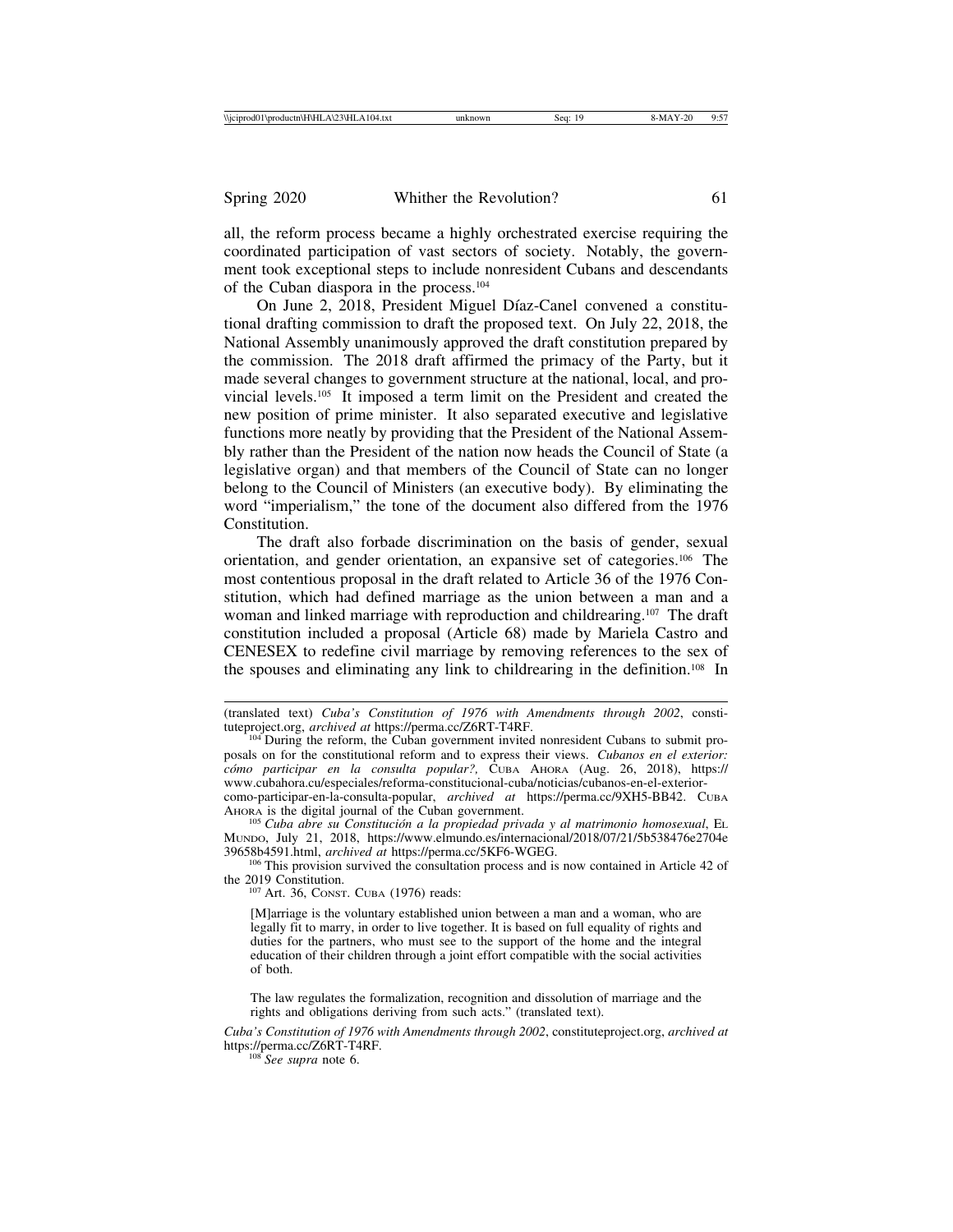| <b>Wicipr</b><br>.104<br><b>State</b><br>`Uproductn\i<br>റ്റ്യ<br>4. LX L<br>$\mathbf{u}$<br>$\Delta V$<br> | sec | н | .<br>.<br>. |
|-------------------------------------------------------------------------------------------------------------|-----|---|-------------|
|                                                                                                             |     |   |             |

all, the reform process became a highly orchestrated exercise requiring the coordinated participation of vast sectors of society. Notably, the government took exceptional steps to include nonresident Cubans and descendants of the Cuban diaspora in the process.104

On June 2, 2018, President Miguel Díaz-Canel convened a constitutional drafting commission to draft the proposed text. On July 22, 2018, the National Assembly unanimously approved the draft constitution prepared by the commission. The 2018 draft affirmed the primacy of the Party, but it made several changes to government structure at the national, local, and provincial levels.105 It imposed a term limit on the President and created the new position of prime minister. It also separated executive and legislative functions more neatly by providing that the President of the National Assembly rather than the President of the nation now heads the Council of State (a legislative organ) and that members of the Council of State can no longer belong to the Council of Ministers (an executive body). By eliminating the word "imperialism," the tone of the document also differed from the 1976 Constitution.

The draft also forbade discrimination on the basis of gender, sexual orientation, and gender orientation, an expansive set of categories.106 The most contentious proposal in the draft related to Article 36 of the 1976 Constitution, which had defined marriage as the union between a man and a woman and linked marriage with reproduction and childrearing.<sup>107</sup> The draft constitution included a proposal (Article 68) made by Mariela Castro and CENESEX to redefine civil marriage by removing references to the sex of the spouses and eliminating any link to childrearing in the definition.108 In

<sup>105</sup> Cuba abre su Constitución a la propiedad privada y al matrimonio homosexual, EL MUNDO, July 21, 2018, https://www.elmundo.es/internacional/2018/07/21/5b538476e2704e 39658b4591.html, *archived at* https://perma.cc/5KF6-WGEG. <sup>106</sup> This provision survived the consultation process and is now contained in Article 42 of

the 2019 Constitution.<br> $107 \text{ Art. } 36$ , CONST. CUBA (1976) reads:

[M]arriage is the voluntary established union between a man and a woman, who are legally fit to marry, in order to live together. It is based on full equality of rights and duties for the partners, who must see to the support of the home and the integral education of their children through a joint effort compatible with the social activities of both.

The law regulates the formalization, recognition and dissolution of marriage and the rights and obligations deriving from such acts." (translated text).

*Cuba's Constitution of 1976 with Amendments through 2002*, constituteproject.org, *archived at* https://perma.cc/Z6RT-T4RF. <sup>108</sup> *See supra* note 6.

<sup>(</sup>translated text) *Cuba's Constitution of 1976 with Amendments through 2002*, consti-

<sup>&</sup>lt;sup>104</sup> During the reform, the Cuban government invited nonresident Cubans to submit proposals on for the constitutional reform and to express their views. *Cubanos en el exterior: c´omo participar en la consulta popular?,* CUBA AHORA (Aug. 26, 2018), https:// www.cubahora.cu/especiales/reforma-constitucional-cuba/noticias/cubanos-en-el-exteriorcomo-participar-en-la-consulta-popular, *archived at* https://perma.cc/9XH5-BB42. CUBA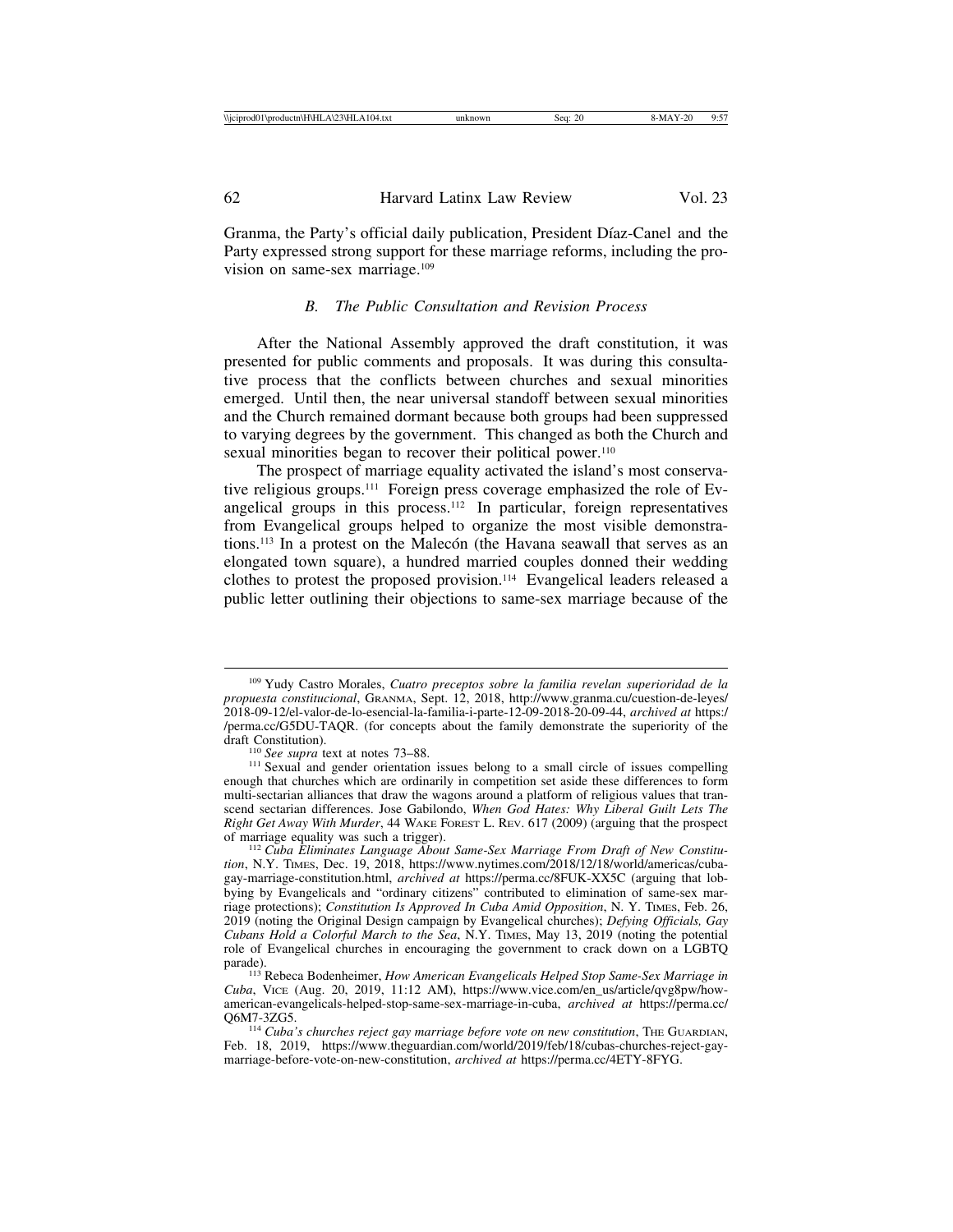| <b>Niciprod0</b><br>ம<br>104<br>'1\productn\H\HLA\2.<br>4.txt<br>∖ TILA I U | 2(<br>sea | າ ເ | $-$<br>u.<br>. |
|-----------------------------------------------------------------------------|-----------|-----|----------------|
|                                                                             |           |     |                |

| 62 | Harvard Latinx Law Review | Vol. 23 |
|----|---------------------------|---------|
|    |                           |         |

Granma, the Party's official daily publication, President Díaz-Canel and the Party expressed strong support for these marriage reforms, including the provision on same-sex marriage.109

## *B. The Public Consultation and Revision Process*

After the National Assembly approved the draft constitution, it was presented for public comments and proposals. It was during this consultative process that the conflicts between churches and sexual minorities emerged. Until then, the near universal standoff between sexual minorities and the Church remained dormant because both groups had been suppressed to varying degrees by the government. This changed as both the Church and sexual minorities began to recover their political power.<sup>110</sup>

The prospect of marriage equality activated the island's most conservative religious groups.111 Foreign press coverage emphasized the role of Evangelical groups in this process.<sup>112</sup> In particular, foreign representatives from Evangelical groups helped to organize the most visible demonstrations.<sup>113</sup> In a protest on the Malecón (the Havana seawall that serves as an elongated town square), a hundred married couples donned their wedding clothes to protest the proposed provision.114 Evangelical leaders released a public letter outlining their objections to same-sex marriage because of the

<sup>109</sup> Yudy Castro Morales, *Cuatro preceptos sobre la familia revelan superioridad de la propuesta constitucional*, GRANMA, Sept. 12, 2018, http://www.granma.cu/cuestion-de-leyes/ 2018-09-12/el-valor-de-lo-esencial-la-familia-i-parte-12-09-2018-20-09-44, *archived at* https:/ /perma.cc/G5DU-TAQR. (for concepts about the family demonstrate the superiority of the

<sup>&</sup>lt;sup>110</sup> *See supra* text at notes 73–88. <sup>111</sup> Sexual and gender orientation issues belong to a small circle of issues compelling enough that churches which are ordinarily in competition set aside these differences to form multi-sectarian alliances that draw the wagons around a platform of religious values that transcend sectarian differences. Jose Gabilondo, *When God Hates: Why Liberal Guilt Lets The Right Get Away With Murder*, 44 WAKE FOREST L. REV. 617 (2009) (arguing that the prospect of marriage equality was such a trigger).

<sup>&</sup>lt;sup>112</sup> Cuba Eliminates Language About Same-Sex Marriage From Draft of New Constitu*tion*, N.Y. TIMES, Dec. 19, 2018, https://www.nytimes.com/2018/12/18/world/americas/cubagay-marriage-constitution.html, *archived at* https://perma.cc/8FUK-XX5C (arguing that lobbying by Evangelicals and "ordinary citizens" contributed to elimination of same-sex marriage protections); *Constitution Is Approved In Cuba Amid Opposition*, N. Y. TIMES, Feb. 26, 2019 (noting the Original Design campaign by Evangelical churches); *Defying Officials, Gay Cubans Hold a Colorful March to the Sea*, N.Y. TIMES, May 13, 2019 (noting the potential role of Evangelical churches in encouraging the government to crack down on a LGBTQ

parade). <sup>113</sup> Rebeca Bodenheimer, *How American Evangelicals Helped Stop Same-Sex Marriage in Cuba*, VICE (Aug. 20, 2019, 11:12 AM), https://www.vice.com/en\_us/article/qvg8pw/howamerican-evangelicals-helped-stop-same-sex-marriage-in-cuba, *archived at* https://perma.cc/

<sup>&</sup>lt;sup>114</sup> Cuba's churches reject gay marriage before vote on new constitution, THE GUARDIAN, Feb. 18, 2019, https://www.theguardian.com/world/2019/feb/18/cubas-churches-reject-gaymarriage-before-vote-on-new-constitution, *archived at* https://perma.cc/4ETY-8FYG.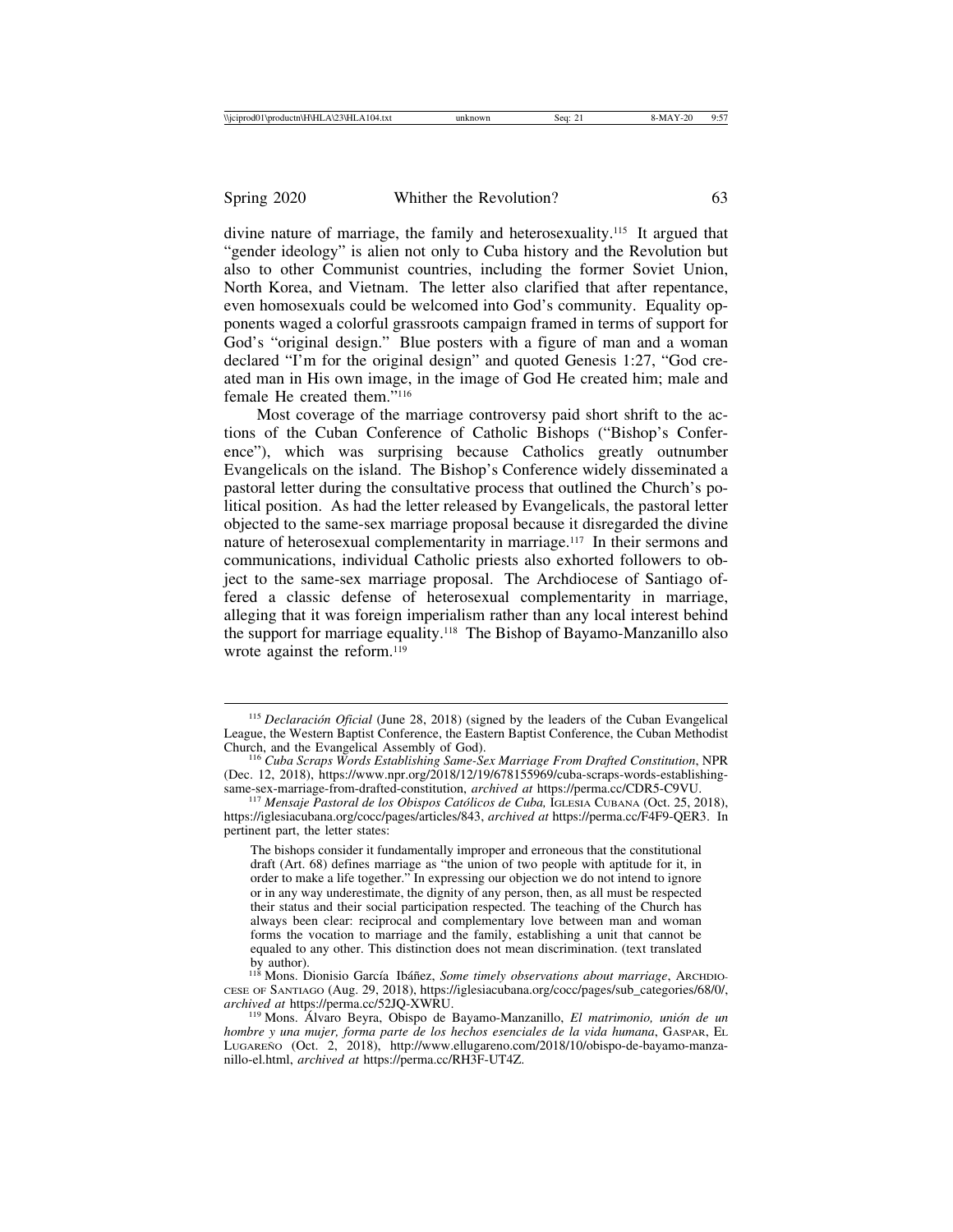divine nature of marriage, the family and heterosexuality.115 It argued that "gender ideology" is alien not only to Cuba history and the Revolution but also to other Communist countries, including the former Soviet Union, North Korea, and Vietnam. The letter also clarified that after repentance, even homosexuals could be welcomed into God's community. Equality opponents waged a colorful grassroots campaign framed in terms of support for God's "original design." Blue posters with a figure of man and a woman declared "I'm for the original design" and quoted Genesis 1:27, "God created man in His own image, in the image of God He created him; male and female He created them."116

Most coverage of the marriage controversy paid short shrift to the actions of the Cuban Conference of Catholic Bishops ("Bishop's Conference"), which was surprising because Catholics greatly outnumber Evangelicals on the island. The Bishop's Conference widely disseminated a pastoral letter during the consultative process that outlined the Church's political position. As had the letter released by Evangelicals, the pastoral letter objected to the same-sex marriage proposal because it disregarded the divine nature of heterosexual complementarity in marriage.<sup>117</sup> In their sermons and communications, individual Catholic priests also exhorted followers to object to the same-sex marriage proposal. The Archdiocese of Santiago offered a classic defense of heterosexual complementarity in marriage, alleging that it was foreign imperialism rather than any local interest behind the support for marriage equality.118 The Bishop of Bayamo-Manzanillo also wrote against the reform.<sup>119</sup>

<sup>&</sup>lt;sup>115</sup> *Declaración Oficial* (June 28, 2018) (signed by the leaders of the Cuban Evangelical League, the Western Baptist Conference, the Eastern Baptist Conference, the Cuban Methodist

<sup>&</sup>lt;sup>116</sup> Cuba Scraps Words Establishing Same-Sex Marriage From Drafted Constitution, NPR (Dec. 12, 2018), https://www.npr.org/2018/12/19/678155969/cuba-scraps-words-establishing-<br>same-sex-marriage-from-drafted-constitution, *archived at https://perma.cc/CDR5-C9VU*.

<sup>&</sup>lt;sup>117</sup> Mensaje Pastoral de los Obispos Católicos de Cuba, IGLESIA CUBANA (Oct. 25, 2018), https://iglesiacubana.org/cocc/pages/articles/843, *archived at* https://perma.cc/F4F9-QER3. In pertinent part, the letter states:

The bishops consider it fundamentally improper and erroneous that the constitutional draft (Art. 68) defines marriage as "the union of two people with aptitude for it, in order to make a life together." In expressing our objection we do not intend to ignore or in any way underestimate, the dignity of any person, then, as all must be respected their status and their social participation respected. The teaching of the Church has always been clear: reciprocal and complementary love between man and woman forms the vocation to marriage and the family, establishing a unit that cannot be equaled to any other. This distinction does not mean discrimination. (text translated

by author).<br><sup>118</sup> Mons. Dionisio García Ibáñez, *Some timely observations about marriage*, Archono-CESE OF SANTIAGO (Aug. 29, 2018), https://iglesiacubana.org/cocc/pages/sub\_categories/68/0/, *archived at https://perma.cc/52JQ-XWRU.* <sup>11</sup> *El matrimonio, unión de un*<sup>119</sup> Mons. Álvaro Beyra, Obispo de Bayamo-Manzanillo, *El matrimonio, unión de un* 

*hombre y una mujer, forma parte de los hechos esenciales de la vida humana*, GASPAR, EL LUGARENO (Oct. 2, 2018), http://www.ellugareno.com/2018/10/obispo-de-bayamo-manzanillo-el.html, *archived at* https://perma.cc/RH3F-UT4Z.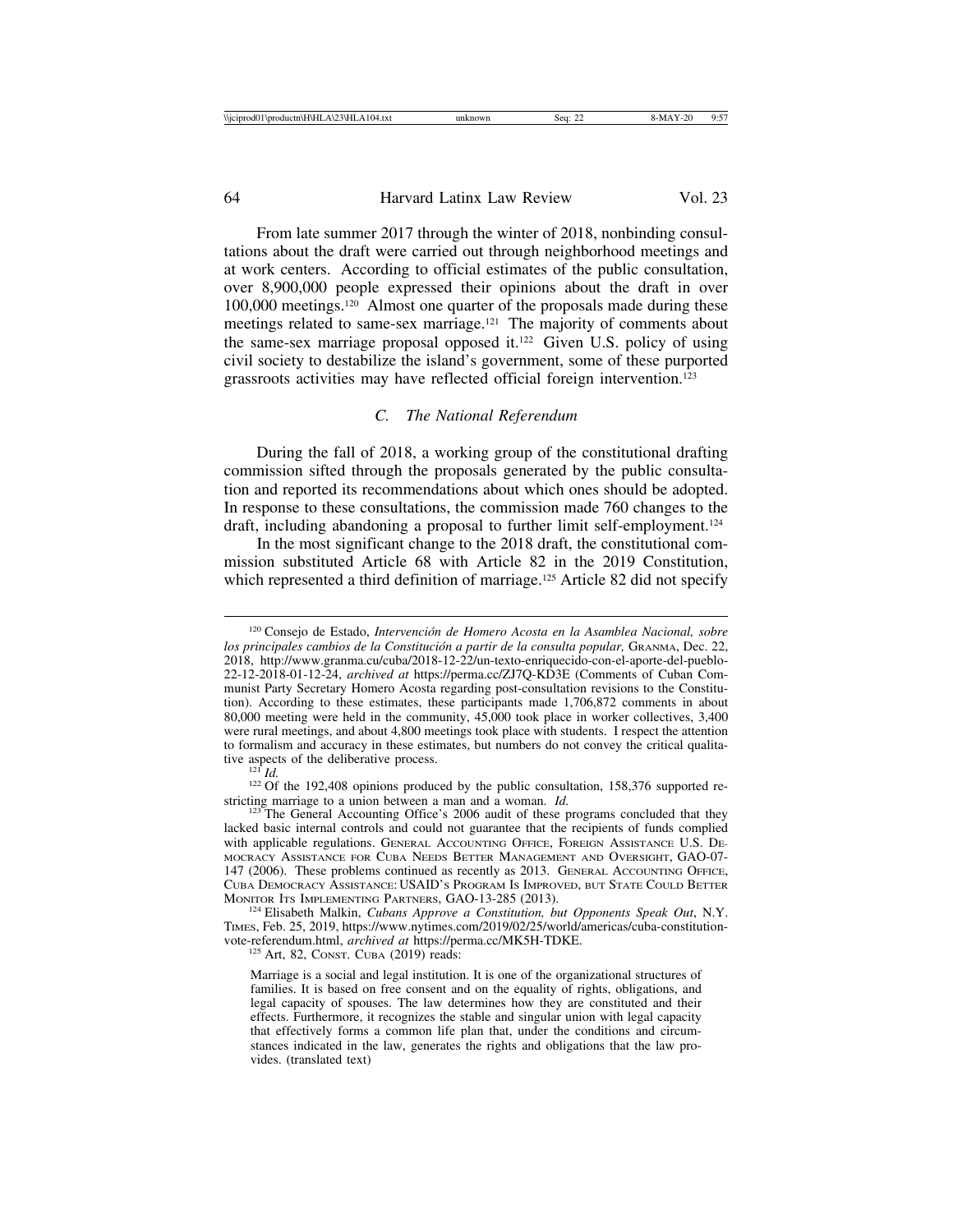From late summer 2017 through the winter of 2018, nonbinding consultations about the draft were carried out through neighborhood meetings and at work centers. According to official estimates of the public consultation, over 8,900,000 people expressed their opinions about the draft in over 100,000 meetings.120 Almost one quarter of the proposals made during these meetings related to same-sex marriage.<sup>121</sup> The majority of comments about the same-sex marriage proposal opposed it.<sup>122</sup> Given U.S. policy of using civil society to destabilize the island's government, some of these purported grassroots activities may have reflected official foreign intervention.123

## *C. The National Referendum*

During the fall of 2018, a working group of the constitutional drafting commission sifted through the proposals generated by the public consultation and reported its recommendations about which ones should be adopted. In response to these consultations, the commission made 760 changes to the draft, including abandoning a proposal to further limit self-employment.124

In the most significant change to the 2018 draft, the constitutional commission substituted Article 68 with Article 82 in the 2019 Constitution, which represented a third definition of marriage.<sup>125</sup> Article 82 did not specify

 $\frac{121}{122}$  *Id.* 122 *Id.* 122 *Id.* 122 *Id.* 122 *Id.* 122 *Id.* 122 *If the public consultation, 158,376 supported re*stricting marriage to a union between a man and a woman. *Id.* <sup>123</sup> The General Accounting Office's 2006 audit of these programs concluded that they

lacked basic internal controls and could not guarantee that the recipients of funds complied with applicable regulations. GENERAL ACCOUNTING OFFICE, FOREIGN ASSISTANCE U.S. DE-MOCRACY ASSISTANCE FOR CUBA NEEDS BETTER MANAGEMENT AND OVERSIGHT, GAO-07- 147 (2006). These problems continued as recently as 2013. GENERAL ACCOUNTING OFFICE, CUBA DEMOCRACY ASSISTANCE: USAID'S PROGRAM IS IMPROVED, BUT STATE COULD BETTER MONITOR ITS IMPLEMENTING PARTNERS, GAO-13-285 (2013). <sup>124</sup> Elisabeth Malkin, *Cubans Approve a Constitution, but Opponents Speak Out*, N.Y.

TIMES, Feb. 25, 2019, https://www.nytimes.com/2019/02/25/world/americas/cuba-constitutionvote-referendum.html, *archived at* https://perma.cc/MK5H-TDKE. <sup>125</sup> Art, 82, CONST. CUBA (2019) reads:

<sup>&</sup>lt;sup>120</sup> Consejo de Estado, Intervención de Homero Acosta en la Asamblea Nacional, sobre los principales cambios de la Constitución a partir de la consulta popular, GRANMA, Dec. 22, 2018, http://www.granma.cu/cuba/2018-12-22/un-texto-enriquecido-con-el-aporte-del-pueblo-22-12-2018-01-12-24, *archived at* https://perma.cc/ZJ7Q-KD3E (Comments of Cuban Communist Party Secretary Homero Acosta regarding post-consultation revisions to the Constitution). According to these estimates, these participants made 1,706,872 comments in about 80,000 meeting were held in the community, 45,000 took place in worker collectives, 3,400 were rural meetings, and about 4,800 meetings took place with students. I respect the attention to formalism and accuracy in these estimates, but numbers do not convey the critical qualitative aspects of the deliberative process.

Marriage is a social and legal institution. It is one of the organizational structures of families. It is based on free consent and on the equality of rights, obligations, and legal capacity of spouses. The law determines how they are constituted and their effects. Furthermore, it recognizes the stable and singular union with legal capacity that effectively forms a common life plan that, under the conditions and circumstances indicated in the law, generates the rights and obligations that the law provides. (translated text)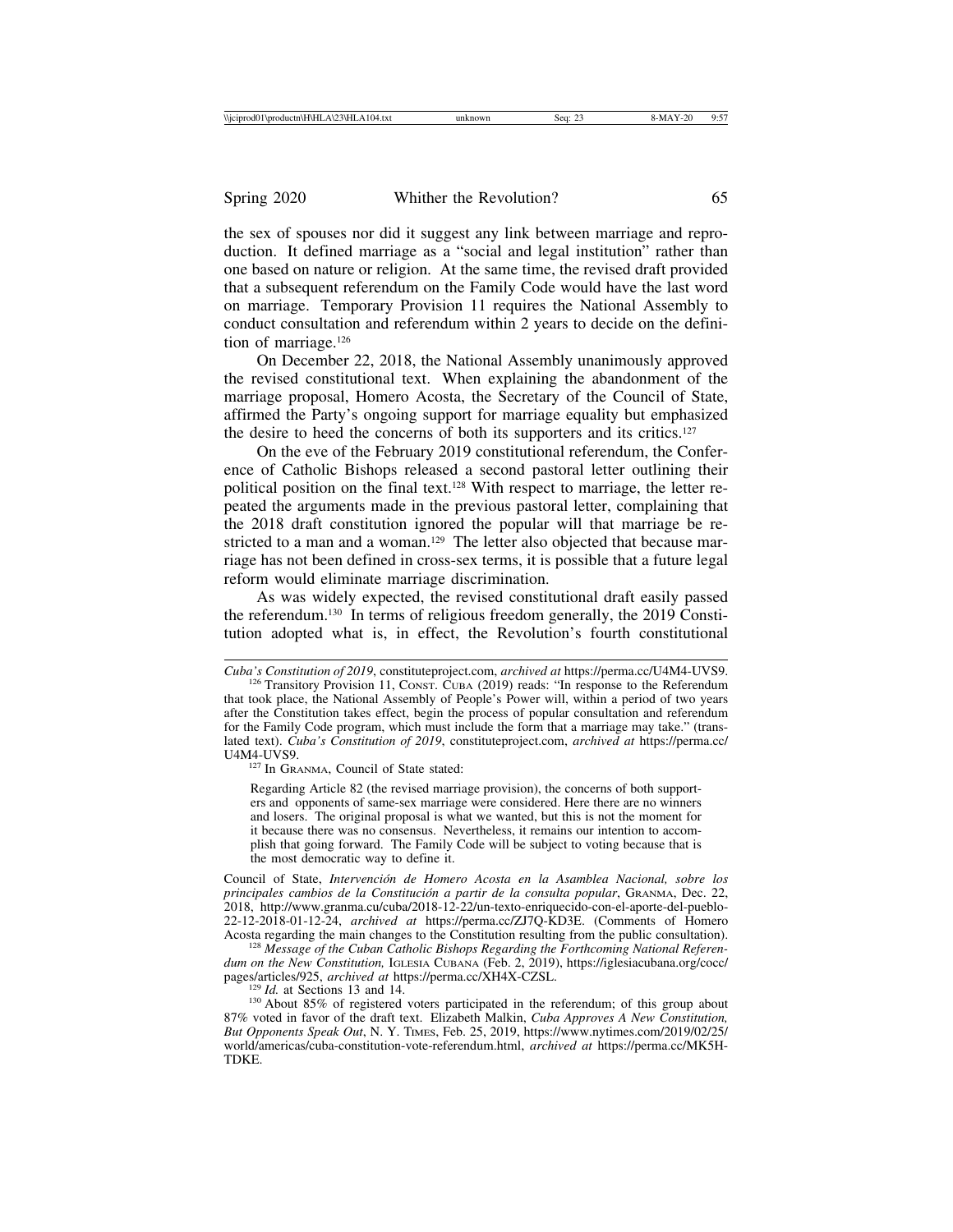the sex of spouses nor did it suggest any link between marriage and reproduction. It defined marriage as a "social and legal institution" rather than one based on nature or religion. At the same time, the revised draft provided that a subsequent referendum on the Family Code would have the last word on marriage. Temporary Provision 11 requires the National Assembly to conduct consultation and referendum within 2 years to decide on the definition of marriage.126

On December 22, 2018, the National Assembly unanimously approved the revised constitutional text. When explaining the abandonment of the marriage proposal, Homero Acosta, the Secretary of the Council of State, affirmed the Party's ongoing support for marriage equality but emphasized the desire to heed the concerns of both its supporters and its critics.127

On the eve of the February 2019 constitutional referendum, the Conference of Catholic Bishops released a second pastoral letter outlining their political position on the final text.<sup>128</sup> With respect to marriage, the letter repeated the arguments made in the previous pastoral letter, complaining that the 2018 draft constitution ignored the popular will that marriage be restricted to a man and a woman.<sup>129</sup> The letter also objected that because marriage has not been defined in cross-sex terms, it is possible that a future legal reform would eliminate marriage discrimination.

As was widely expected, the revised constitutional draft easily passed the referendum.130 In terms of religious freedom generally, the 2019 Constitution adopted what is, in effect, the Revolution's fourth constitutional

<sup>127</sup> In GRANMA, Council of State stated:

Regarding Article 82 (the revised marriage provision), the concerns of both supporters and opponents of same-sex marriage were considered. Here there are no winners and losers. The original proposal is what we wanted, but this is not the moment for it because there was no consensus. Nevertheless, it remains our intention to accomplish that going forward. The Family Code will be subject to voting because that is the most democratic way to define it.

Council of State, *Intervención de Homero Acosta en la Asamblea Nacional, sobre los principales cambios de la Constituci´on a partir de la consulta popular*, GRANMA, Dec. 22, 2018, http://www.granma.cu/cuba/2018-12-22/un-texto-enriquecido-con-el-aporte-del-pueblo-22-12-2018-01-12-24, *archived at* https://perma.cc/ZJ7Q-KD3E. (Comments of Homero

Acosta regarding the main changes to the Constitution resulting from the public consultation). <sup>128</sup> *Message of the Cuban Catholic Bishops Regarding the Forthcoming National Referendum on the New Constitution, IGLESIA CUBANA (Feb. 2, 2019), https://iglesiacubana.org/cocc/ pages/articles/925, archived at https://perma.cc/XH4X-CZSL.* 

<sup>129</sup> *Id.* at Sections 13 and 14. *archived at* https://perman.com/M-CALA 30 About 85% of registered voters participated in the referendum; of this group about 87% voted in favor of the draft text. Elizabeth Malkin, *Cuba Approves A New Constitution, But Opponents Speak Out*, N. Y. TIMES, Feb. 25, 2019, https://www.nytimes.com/2019/02/25/ world/americas/cuba-constitution-vote-referendum.html, *archived at* https://perma.cc/MK5H-TDKE.

*Cuba's Constitution of 2019*, constituteproject.com, *archived at* https://perma.cc/U4M4-UVS9. <sup>126</sup> Transitory Provision 11, CONST. CUBA (2019) reads: "In response to the Referendum

that took place, the National Assembly of People's Power will, within a period of two years after the Constitution takes effect, begin the process of popular consultation and referendum for the Family Code program, which must include the form that a marriage may take." (translated text). *Cuba's Constitution of 2019*, constituteproject.com, *archived at* https://perma.cc/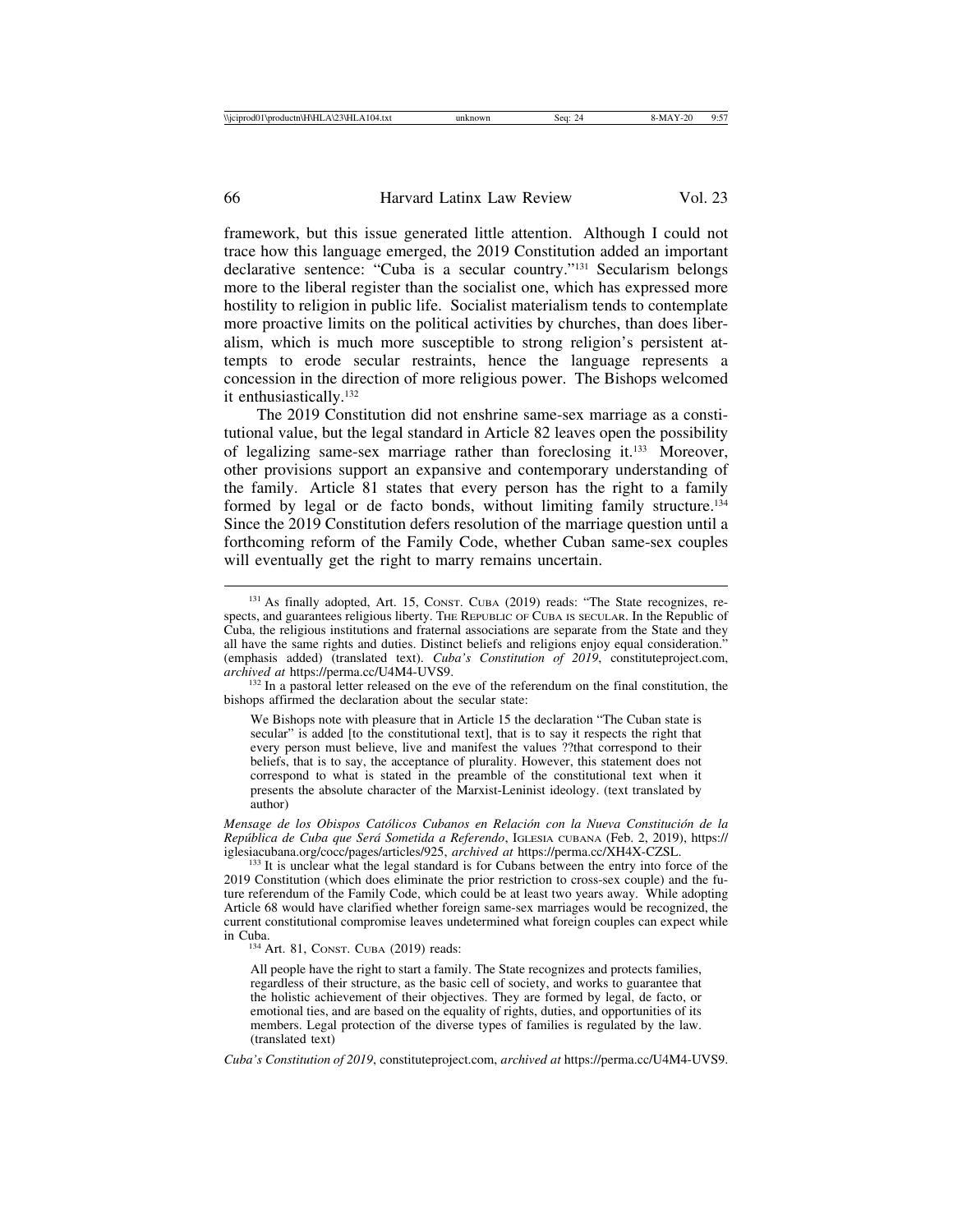framework, but this issue generated little attention. Although I could not trace how this language emerged, the 2019 Constitution added an important declarative sentence: "Cuba is a secular country."131 Secularism belongs more to the liberal register than the socialist one, which has expressed more hostility to religion in public life. Socialist materialism tends to contemplate more proactive limits on the political activities by churches, than does liberalism, which is much more susceptible to strong religion's persistent attempts to erode secular restraints, hence the language represents a concession in the direction of more religious power. The Bishops welcomed it enthusiastically.132

The 2019 Constitution did not enshrine same-sex marriage as a constitutional value, but the legal standard in Article 82 leaves open the possibility of legalizing same-sex marriage rather than foreclosing it.133 Moreover, other provisions support an expansive and contemporary understanding of the family. Article 81 states that every person has the right to a family formed by legal or de facto bonds, without limiting family structure.<sup>134</sup> Since the 2019 Constitution defers resolution of the marriage question until a forthcoming reform of the Family Code, whether Cuban same-sex couples will eventually get the right to marry remains uncertain.

We Bishops note with pleasure that in Article 15 the declaration "The Cuban state is secular" is added [to the constitutional text], that is to say it respects the right that every person must believe, live and manifest the values ??that correspond to their beliefs, that is to say, the acceptance of plurality. However, this statement does not correspond to what is stated in the preamble of the constitutional text when it presents the absolute character of the Marxist-Leninist ideology. (text translated by author)

*Mensage de los Obispos Católicos Cubanos en Relación con la Nueva Constitución de la Rep´ublica de Cuba que Ser´a Sometida a Referendo*, IGLESIA CUBANA (Feb. 2, 2019), https:// iglesiacubana.org/cocc/pages/articles/925, *archived at* https://perma.cc/XH4X-CZSL. <sup>133</sup> It is unclear what the legal standard is for Cubans between the entry into force of the

<sup>131</sup> As finally adopted, Art. 15, CONST. CUBA (2019) reads: "The State recognizes, respects, and guarantees religious liberty. THE REPUBLIC OF CUBA IS SECULAR. In the Republic of Cuba, the religious institutions and fraternal associations are separate from the State and they all have the same rights and duties. Distinct beliefs and religions enjoy equal consideration." (emphasis added) (translated text). *Cuba's Constitution of 2019*, constituteproject.com,

<sup>&</sup>lt;sup>132</sup> In a pastoral letter released on the eve of the referendum on the final constitution, the bishops affirmed the declaration about the secular state:

<sup>2019</sup> Constitution (which does eliminate the prior restriction to cross-sex couple) and the future referendum of the Family Code, which could be at least two years away. While adopting Article 68 would have clarified whether foreign same-sex marriages would be recognized, the current constitutional compromise leaves undetermined what foreign couples can expect while in Cuba. <sup>134</sup> Art. 81, CONST. CUBA (2019) reads:

All people have the right to start a family. The State recognizes and protects families, regardless of their structure, as the basic cell of society, and works to guarantee that the holistic achievement of their objectives. They are formed by legal, de facto, or emotional ties, and are based on the equality of rights, duties, and opportunities of its members. Legal protection of the diverse types of families is regulated by the law. (translated text)

*Cuba's Constitution of 2019*, constituteproject.com, *archived at* https://perma.cc/U4M4-UVS9.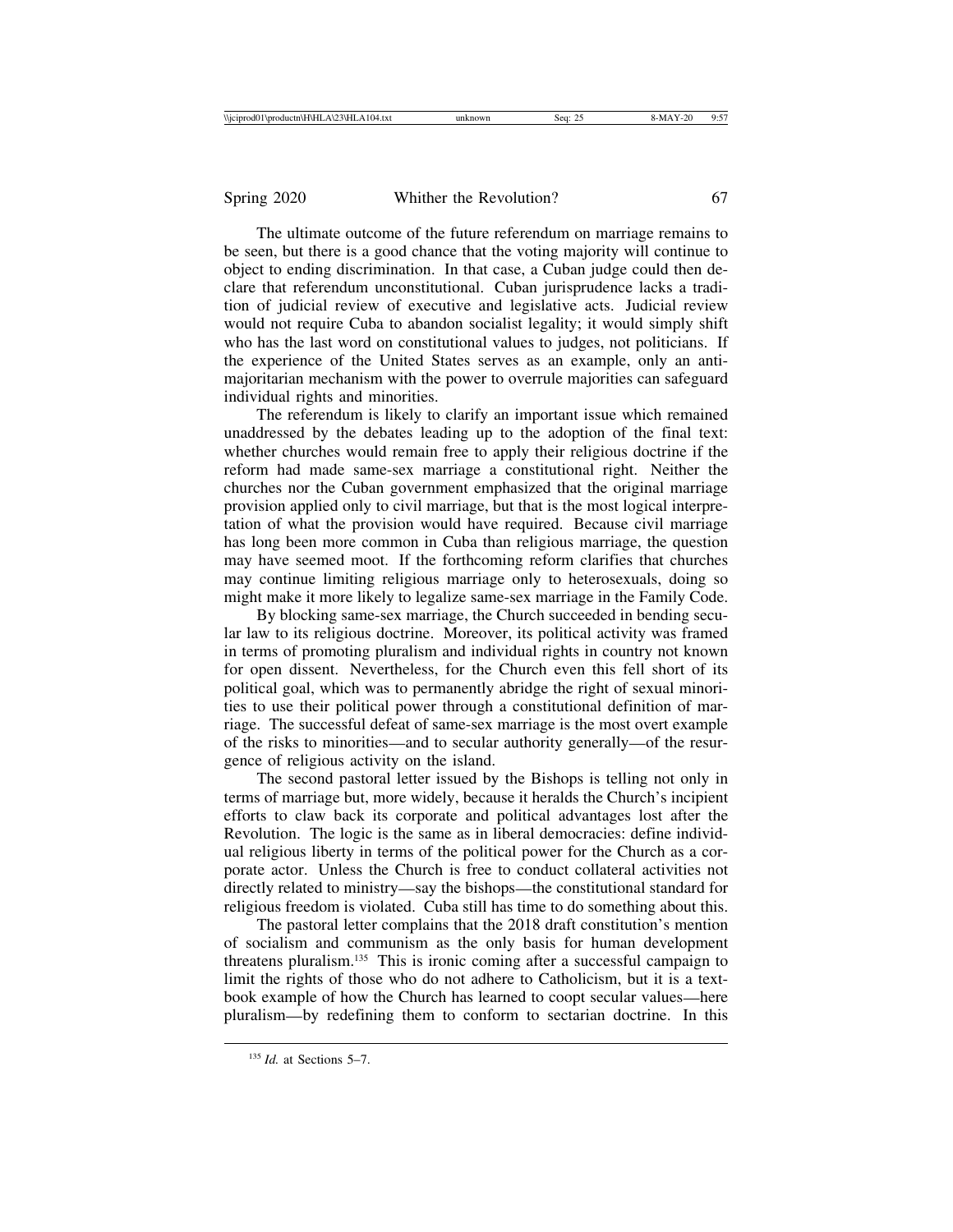The ultimate outcome of the future referendum on marriage remains to be seen, but there is a good chance that the voting majority will continue to object to ending discrimination. In that case, a Cuban judge could then declare that referendum unconstitutional. Cuban jurisprudence lacks a tradition of judicial review of executive and legislative acts. Judicial review would not require Cuba to abandon socialist legality; it would simply shift who has the last word on constitutional values to judges, not politicians. If the experience of the United States serves as an example, only an antimajoritarian mechanism with the power to overrule majorities can safeguard individual rights and minorities.

The referendum is likely to clarify an important issue which remained unaddressed by the debates leading up to the adoption of the final text: whether churches would remain free to apply their religious doctrine if the reform had made same-sex marriage a constitutional right. Neither the churches nor the Cuban government emphasized that the original marriage provision applied only to civil marriage, but that is the most logical interpretation of what the provision would have required. Because civil marriage has long been more common in Cuba than religious marriage, the question may have seemed moot. If the forthcoming reform clarifies that churches may continue limiting religious marriage only to heterosexuals, doing so might make it more likely to legalize same-sex marriage in the Family Code.

By blocking same-sex marriage, the Church succeeded in bending secular law to its religious doctrine. Moreover, its political activity was framed in terms of promoting pluralism and individual rights in country not known for open dissent. Nevertheless, for the Church even this fell short of its political goal, which was to permanently abridge the right of sexual minorities to use their political power through a constitutional definition of marriage. The successful defeat of same-sex marriage is the most overt example of the risks to minorities—and to secular authority generally—of the resurgence of religious activity on the island.

The second pastoral letter issued by the Bishops is telling not only in terms of marriage but, more widely, because it heralds the Church's incipient efforts to claw back its corporate and political advantages lost after the Revolution. The logic is the same as in liberal democracies: define individual religious liberty in terms of the political power for the Church as a corporate actor. Unless the Church is free to conduct collateral activities not directly related to ministry—say the bishops—the constitutional standard for religious freedom is violated. Cuba still has time to do something about this.

The pastoral letter complains that the 2018 draft constitution's mention of socialism and communism as the only basis for human development threatens pluralism.135 This is ironic coming after a successful campaign to limit the rights of those who do not adhere to Catholicism, but it is a textbook example of how the Church has learned to coopt secular values—here pluralism—by redefining them to conform to sectarian doctrine. In this

<sup>135</sup> *Id.* at Sections 5–7.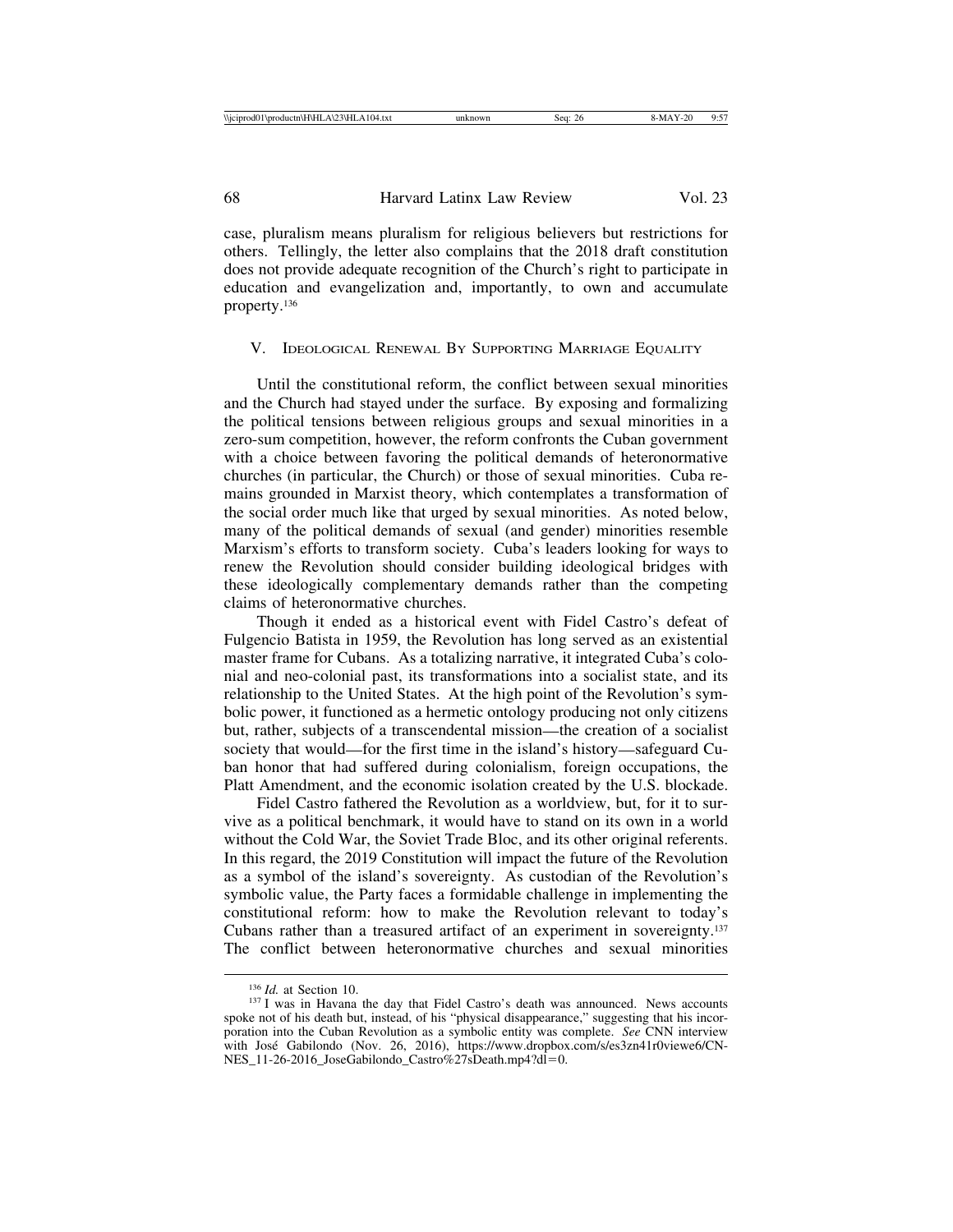| <b>Niciprod0</b><br>1\productn\H\HLA\2.<br>' () 4<br>4.txt<br>11 H A | $\sim$<br>sea<br>20 | '' | .<br>u.<br>. |
|----------------------------------------------------------------------|---------------------|----|--------------|
|                                                                      |                     |    |              |

case, pluralism means pluralism for religious believers but restrictions for others. Tellingly, the letter also complains that the 2018 draft constitution does not provide adequate recognition of the Church's right to participate in education and evangelization and, importantly, to own and accumulate property.136

#### V. IDEOLOGICAL RENEWAL BY SUPPORTING MARRIAGE EQUALITY

Until the constitutional reform, the conflict between sexual minorities and the Church had stayed under the surface. By exposing and formalizing the political tensions between religious groups and sexual minorities in a zero-sum competition, however, the reform confronts the Cuban government with a choice between favoring the political demands of heteronormative churches (in particular, the Church) or those of sexual minorities. Cuba remains grounded in Marxist theory, which contemplates a transformation of the social order much like that urged by sexual minorities. As noted below, many of the political demands of sexual (and gender) minorities resemble Marxism's efforts to transform society. Cuba's leaders looking for ways to renew the Revolution should consider building ideological bridges with these ideologically complementary demands rather than the competing claims of heteronormative churches.

Though it ended as a historical event with Fidel Castro's defeat of Fulgencio Batista in 1959, the Revolution has long served as an existential master frame for Cubans. As a totalizing narrative, it integrated Cuba's colonial and neo-colonial past, its transformations into a socialist state, and its relationship to the United States. At the high point of the Revolution's symbolic power, it functioned as a hermetic ontology producing not only citizens but, rather, subjects of a transcendental mission—the creation of a socialist society that would—for the first time in the island's history—safeguard Cuban honor that had suffered during colonialism, foreign occupations, the Platt Amendment, and the economic isolation created by the U.S. blockade.

Fidel Castro fathered the Revolution as a worldview, but, for it to survive as a political benchmark, it would have to stand on its own in a world without the Cold War, the Soviet Trade Bloc, and its other original referents. In this regard, the 2019 Constitution will impact the future of the Revolution as a symbol of the island's sovereignty. As custodian of the Revolution's symbolic value, the Party faces a formidable challenge in implementing the constitutional reform: how to make the Revolution relevant to today's Cubans rather than a treasured artifact of an experiment in sovereignty.137 The conflict between heteronormative churches and sexual minorities

<sup>&</sup>lt;sup>136</sup> *Id.* at Section 10. 137 I was in Havana the day that Fidel Castro's death was announced. News accounts spoke not of his death but, instead, of his "physical disappearance," suggesting that his incorporation into the Cuban Revolution as a symbolic entity was complete. *See* CNN interview with José Gabilondo (Nov. 26, 2016), https://www.dropbox.com/s/es3zn41r0viewe6/CN-NES\_11-26-2016\_JoseGabilondo\_Castro%27sDeath.mp4?dl=0.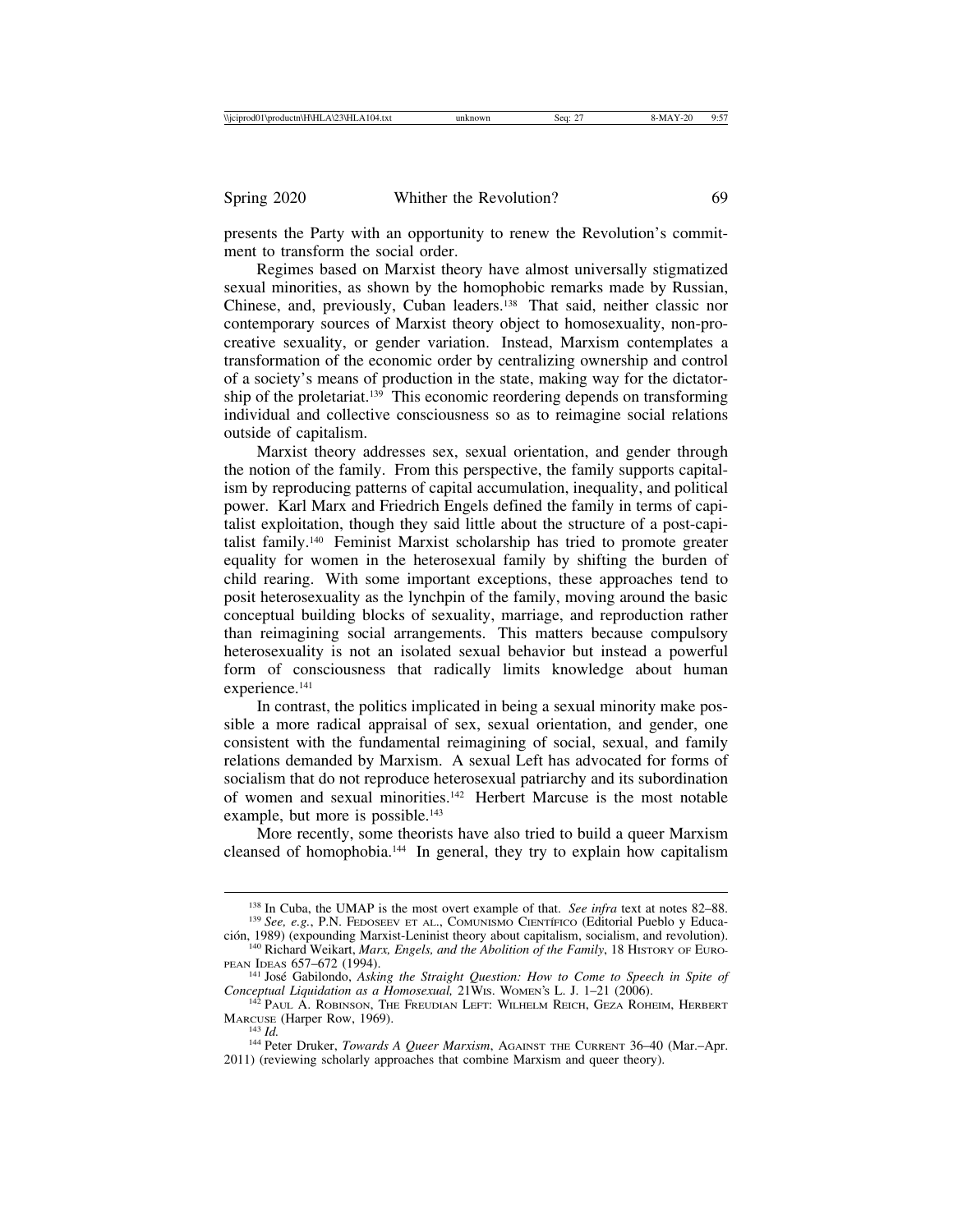presents the Party with an opportunity to renew the Revolution's commitment to transform the social order.

Regimes based on Marxist theory have almost universally stigmatized sexual minorities, as shown by the homophobic remarks made by Russian, Chinese, and, previously, Cuban leaders.138 That said, neither classic nor contemporary sources of Marxist theory object to homosexuality, non-procreative sexuality, or gender variation. Instead, Marxism contemplates a transformation of the economic order by centralizing ownership and control of a society's means of production in the state, making way for the dictatorship of the proletariat.<sup>139</sup> This economic reordering depends on transforming individual and collective consciousness so as to reimagine social relations outside of capitalism.

Marxist theory addresses sex, sexual orientation, and gender through the notion of the family. From this perspective, the family supports capitalism by reproducing patterns of capital accumulation, inequality, and political power. Karl Marx and Friedrich Engels defined the family in terms of capitalist exploitation, though they said little about the structure of a post-capitalist family.140 Feminist Marxist scholarship has tried to promote greater equality for women in the heterosexual family by shifting the burden of child rearing. With some important exceptions, these approaches tend to posit heterosexuality as the lynchpin of the family, moving around the basic conceptual building blocks of sexuality, marriage, and reproduction rather than reimagining social arrangements. This matters because compulsory heterosexuality is not an isolated sexual behavior but instead a powerful form of consciousness that radically limits knowledge about human experience.<sup>141</sup>

In contrast, the politics implicated in being a sexual minority make possible a more radical appraisal of sex, sexual orientation, and gender, one consistent with the fundamental reimagining of social, sexual, and family relations demanded by Marxism. A sexual Left has advocated for forms of socialism that do not reproduce heterosexual patriarchy and its subordination of women and sexual minorities.142 Herbert Marcuse is the most notable example, but more is possible.<sup>143</sup>

More recently, some theorists have also tried to build a queer Marxism cleansed of homophobia.144 In general, they try to explain how capitalism

<sup>&</sup>lt;sup>138</sup> In Cuba, the UMAP is the most overt example of that. *See infra* text at notes 82–88. <sup>139</sup> *See, e.g.*, P.N. FEDOSEEV ET AL., COMUNISMO CIENTÍFICO (Editorial Pueblo y Educa-

ción, 1989) (expounding Marxist-Leninist theory about capitalism, socialism, and revolution). <sup>140</sup> Richard Weikart, *Marx, Engels, and the Abolition of the Family*, 18 HISTORY OF EURO-

PEAN IDEAS 657–672 (1994).<br><sup>141</sup> José Gabilondo, *Asking the Straight Question: How to Come to Speech in Spite of*<br>*Conceptual Liquidation as a Homosexual*, 21Wis. WOMEN's L. J. 1–21 (2006).

<sup>&</sup>lt;sup>142</sup> Paul A. Robinson, The Freudian Left: Wilhelm Reich, Geza Roheim, Herbert MARCUSE (Harper Row, 1969).<br><sup>143</sup> *Id.* 144 Peter Druker, *Towards A Queer Marxism*, AGAINST THE CURRENT 36–40 (Mar.–Apr.

<sup>2011) (</sup>reviewing scholarly approaches that combine Marxism and queer theory).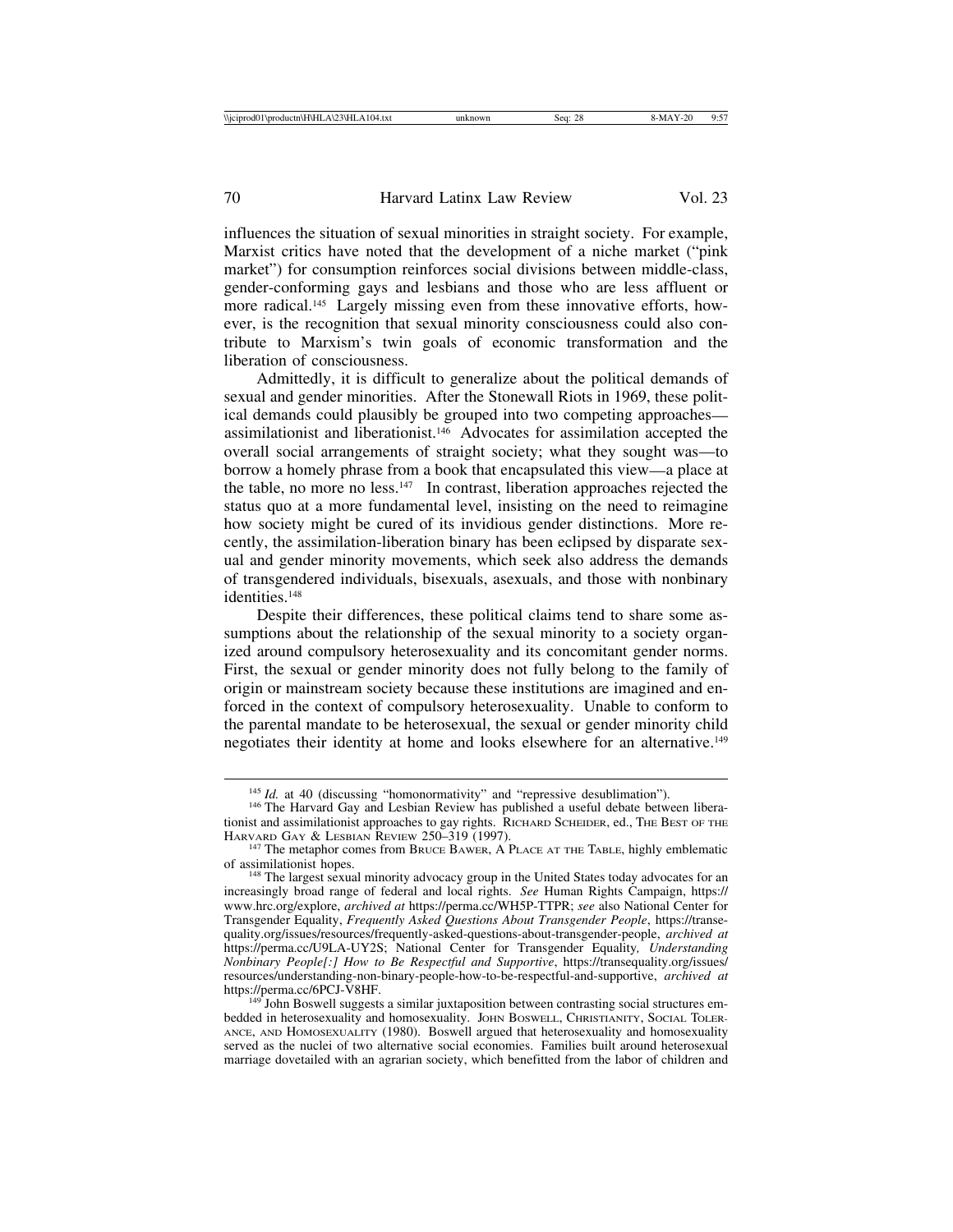influences the situation of sexual minorities in straight society. For example, Marxist critics have noted that the development of a niche market ("pink market") for consumption reinforces social divisions between middle-class, gender-conforming gays and lesbians and those who are less affluent or more radical.<sup>145</sup> Largely missing even from these innovative efforts, however, is the recognition that sexual minority consciousness could also contribute to Marxism's twin goals of economic transformation and the liberation of consciousness.

Admittedly, it is difficult to generalize about the political demands of sexual and gender minorities. After the Stonewall Riots in 1969, these political demands could plausibly be grouped into two competing approaches assimilationist and liberationist.146 Advocates for assimilation accepted the overall social arrangements of straight society; what they sought was—to borrow a homely phrase from a book that encapsulated this view—a place at the table, no more no less.147 In contrast, liberation approaches rejected the status quo at a more fundamental level, insisting on the need to reimagine how society might be cured of its invidious gender distinctions. More recently, the assimilation-liberation binary has been eclipsed by disparate sexual and gender minority movements, which seek also address the demands of transgendered individuals, bisexuals, asexuals, and those with nonbinary identities.<sup>148</sup>

Despite their differences, these political claims tend to share some assumptions about the relationship of the sexual minority to a society organized around compulsory heterosexuality and its concomitant gender norms. First, the sexual or gender minority does not fully belong to the family of origin or mainstream society because these institutions are imagined and enforced in the context of compulsory heterosexuality. Unable to conform to the parental mandate to be heterosexual, the sexual or gender minority child negotiates their identity at home and looks elsewhere for an alternative.149

<sup>&</sup>lt;sup>145</sup> *Id.* at 40 (discussing "homonormativity" and "repressive desublimation"). <sup>146</sup> The Harvard Gay and Lesbian Review has published a useful debate between liberationist and assimilationist approaches to gay rights. RICHARD SCHEIDER, ed., THE BEST OF THE

HARVARD GAY & LESBIAN REVIEW 250–319 (1997).<br><sup>147</sup> The metaphor comes from BRUCE BAWER, A PLACE AT THE TABLE, highly emblematic of assimilationist hopes.

of assimilationist hopes. 148 The largest sexual minority advocacy group in the United States today advocates for an increasingly broad range of federal and local rights. *See* Human Rights Campaign, https:// www.hrc.org/explore, *archived at* https://perma.cc/WH5P-TTPR; *see* also National Center for Transgender Equality, *Frequently Asked Questions About Transgender People*, https://transequality.org/issues/resources/frequently-asked-questions-about-transgender-people, *archived at* https://perma.cc/U9LA-UY2S; National Center for Transgender Equality*, Understanding Nonbinary People[:] How to Be Respectful and Supportive*, https://transequality.org/issues/ resources/understanding-non-binary-people-how-to-be-respectful-and-supportive, *archived at*

 $149<sup>†</sup>$  John Boswell suggests a similar juxtaposition between contrasting social structures embedded in heterosexuality and homosexuality. JOHN BOSWELL, CHRISTIANITY, SOCIAL TOLER-ANCE, AND HOMOSEXUALITY (1980). Boswell argued that heterosexuality and homosexuality served as the nuclei of two alternative social economies. Families built around heterosexual marriage dovetailed with an agrarian society, which benefitted from the labor of children and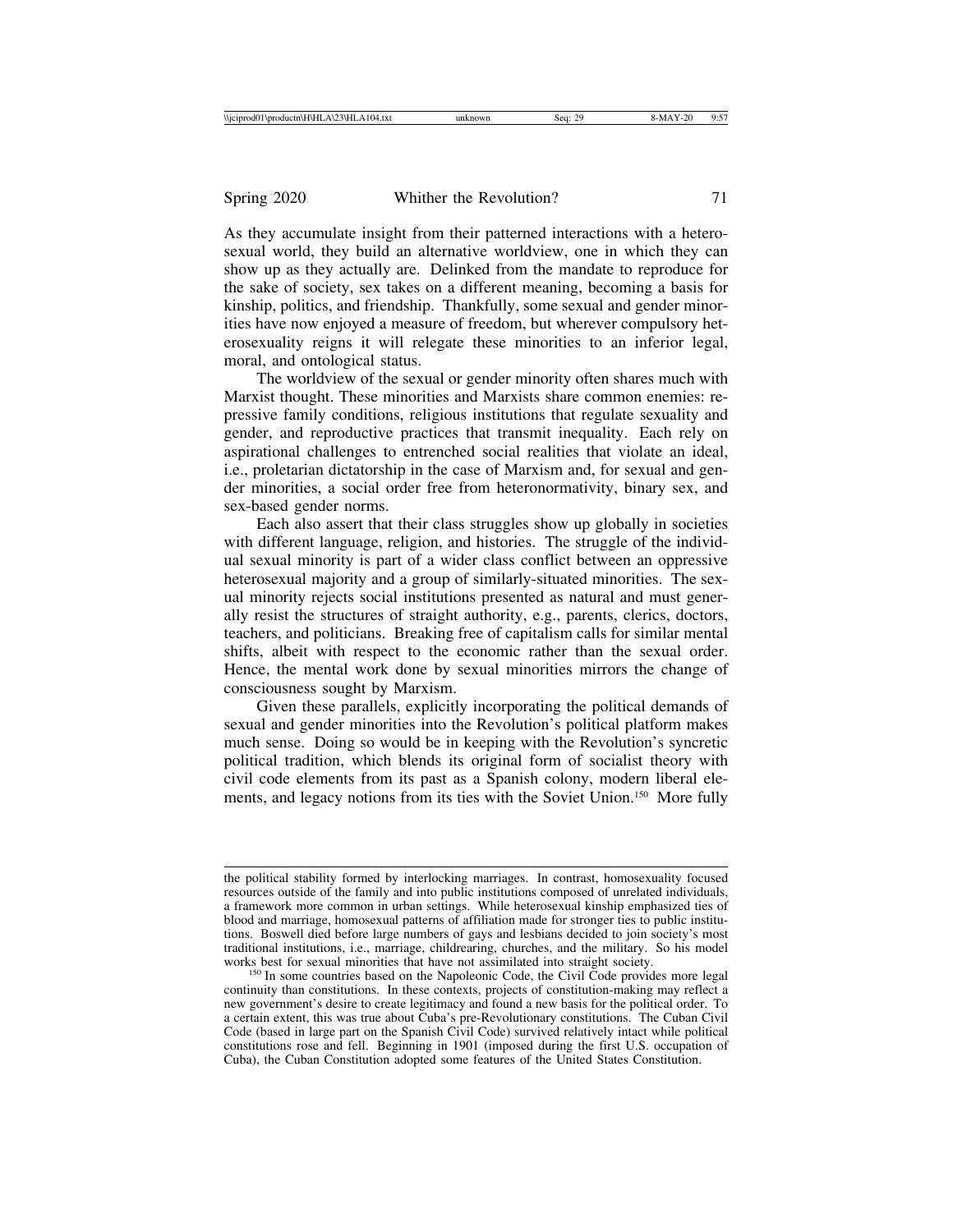As they accumulate insight from their patterned interactions with a heterosexual world, they build an alternative worldview, one in which they can show up as they actually are. Delinked from the mandate to reproduce for the sake of society, sex takes on a different meaning, becoming a basis for kinship, politics, and friendship. Thankfully, some sexual and gender minorities have now enjoyed a measure of freedom, but wherever compulsory heterosexuality reigns it will relegate these minorities to an inferior legal, moral, and ontological status.

The worldview of the sexual or gender minority often shares much with Marxist thought. These minorities and Marxists share common enemies: repressive family conditions, religious institutions that regulate sexuality and gender, and reproductive practices that transmit inequality. Each rely on aspirational challenges to entrenched social realities that violate an ideal, i.e., proletarian dictatorship in the case of Marxism and, for sexual and gender minorities, a social order free from heteronormativity, binary sex, and sex-based gender norms.

Each also assert that their class struggles show up globally in societies with different language, religion, and histories. The struggle of the individual sexual minority is part of a wider class conflict between an oppressive heterosexual majority and a group of similarly-situated minorities. The sexual minority rejects social institutions presented as natural and must generally resist the structures of straight authority, e.g., parents, clerics, doctors, teachers, and politicians. Breaking free of capitalism calls for similar mental shifts, albeit with respect to the economic rather than the sexual order. Hence, the mental work done by sexual minorities mirrors the change of consciousness sought by Marxism.

Given these parallels, explicitly incorporating the political demands of sexual and gender minorities into the Revolution's political platform makes much sense. Doing so would be in keeping with the Revolution's syncretic political tradition, which blends its original form of socialist theory with civil code elements from its past as a Spanish colony, modern liberal elements, and legacy notions from its ties with the Soviet Union.150 More fully

the political stability formed by interlocking marriages. In contrast, homosexuality focused resources outside of the family and into public institutions composed of unrelated individuals, a framework more common in urban settings. While heterosexual kinship emphasized ties of blood and marriage, homosexual patterns of affiliation made for stronger ties to public institutions. Boswell died before large numbers of gays and lesbians decided to join society's most traditional institutions, i.e., marriage, childrearing, churches, and the military. So his model

<sup>&</sup>lt;sup>150</sup> In some countries based on the Napoleonic Code, the Civil Code provides more legal continuity than constitutions. In these contexts, projects of constitution-making may reflect a new government's desire to create legitimacy and found a new basis for the political order. To a certain extent, this was true about Cuba's pre-Revolutionary constitutions. The Cuban Civil Code (based in large part on the Spanish Civil Code) survived relatively intact while political constitutions rose and fell. Beginning in 1901 (imposed during the first U.S. occupation of Cuba), the Cuban Constitution adopted some features of the United States Constitution.